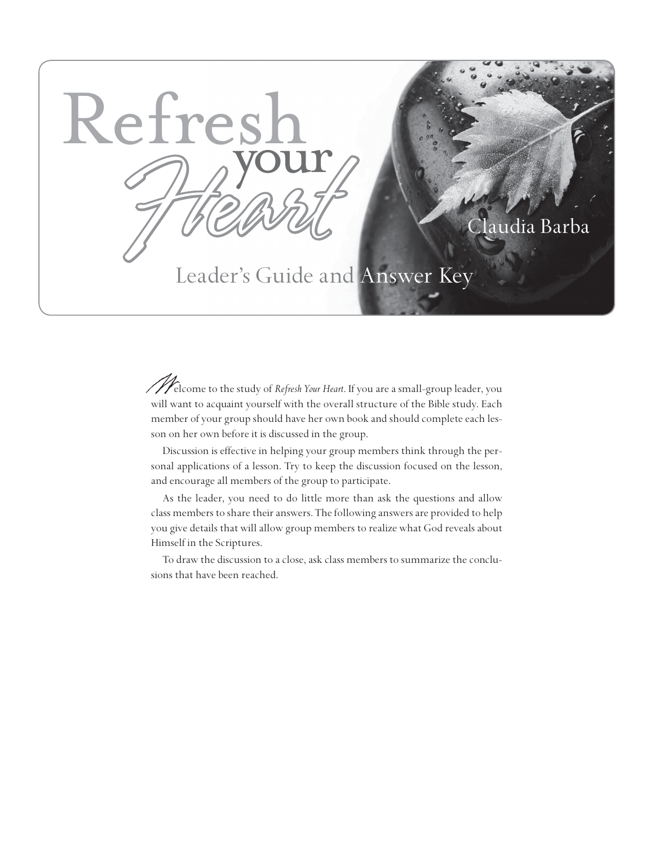

## Claudia Barba

# Leader's Guide and Answer Key

Welcome to the study of *Refresh Your Heart*. If you are a small-group leader, you will want to acquaint yourself with the overall structure of the Bible study. Each member of your group should have her own book and should complete each lesson on her own before it is discussed in the group.

Discussion is effective in helping your group members think through the personal applications of a lesson. Try to keep the discussion focused on the lesson, and encourage all members of the group to participate.

As the leader, you need to do little more than ask the questions and allow class members to share their answers. The following answers are provided to help you give details that will allow group members to realize what God reveals about Himself in the Scriptures.

To draw the discussion to a close, ask class members to summarize the conclusions that have been reached.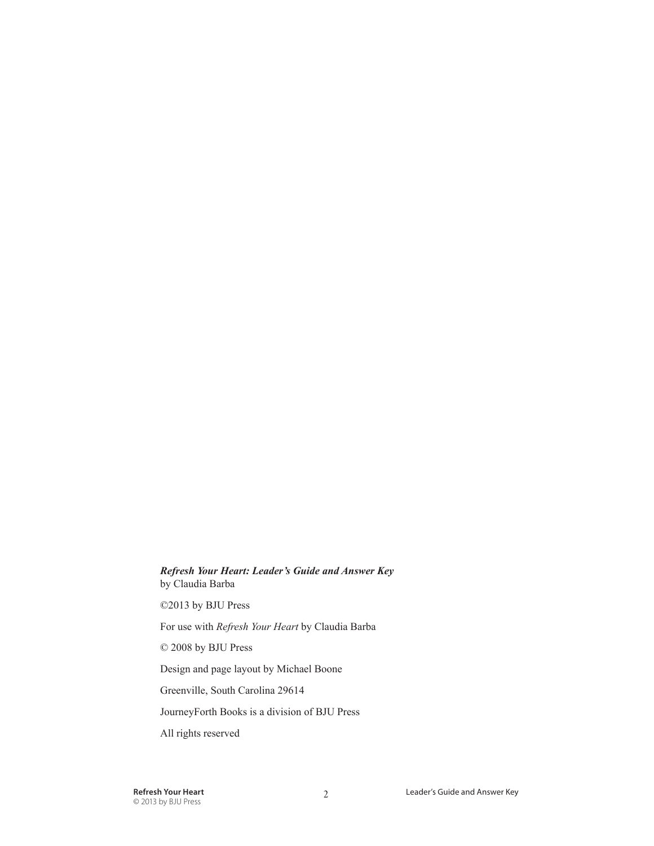#### *Refresh Your Heart: Leader's Guide and Answer Key* by Claudia Barba

©2013 by BJU Press

For use with *Refresh Your Heart* by Claudia Barba

© 2008 by BJU Press

Design and page layout by Michael Boone

Greenville, South Carolina 29614

JourneyForth Books is a division of BJU Press

All rights reserved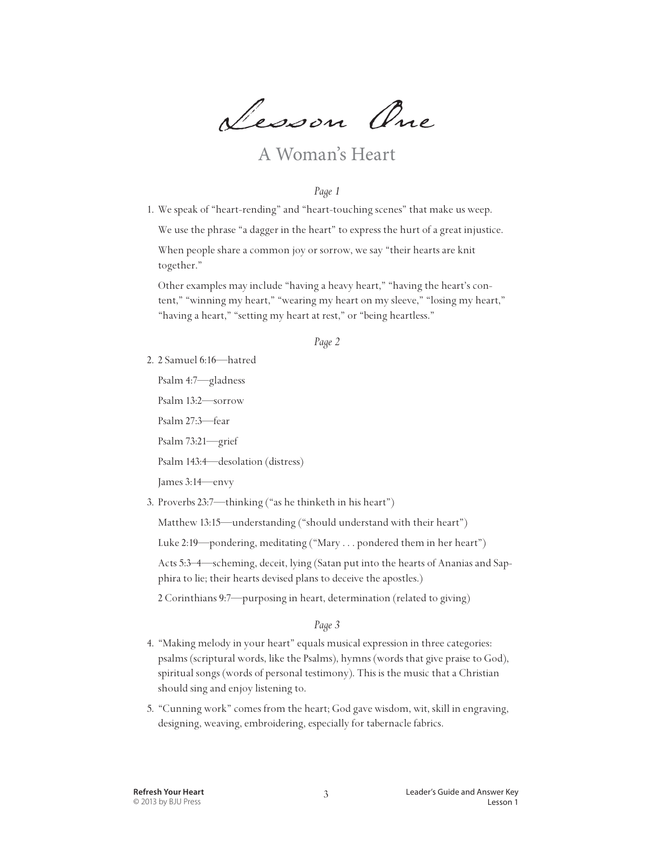Lesson One

## A Woman's Heart

#### *Page 1*

1. We speak of "heart-rending" and "heart-touching scenes" that make us weep.

We use the phrase "a dagger in the heart" to express the hurt of a great injustice.

 When people share a common joy or sorrow, we say "their hearts are knit together."

 Other examples may include "having a heavy heart," "having the heart's content," "winning my heart," "wearing my heart on my sleeve," "losing my heart," "having a heart," "setting my heart at rest," or "being heartless."

#### *Page 2*

- 2. 2 Samuel 6:16—hatred
	- Psalm 4:7—gladness

Psalm 13:2—sorrow

Psalm 27:3—fear

Psalm 73:21—grief

Psalm 143:4—desolation (distress)

James 3:14—envy

3. Proverbs 23:7—thinking ("as he thinketh in his heart")

Matthew 13:15—understanding ("should understand with their heart")

Luke 2:19—pondering, meditating ("Mary . . . pondered them in her heart")

 Acts 5:3–4—scheming, deceit, lying (Satan put into the hearts of Ananias and Sapphira to lie; their hearts devised plans to deceive the apostles.)

2 Corinthians 9:7—purposing in heart, determination (related to giving)

#### *Page 3*

- 4. "Making melody in your heart" equals musical expression in three categories: psalms (scriptural words, like the Psalms), hymns (words that give praise to God), spiritual songs (words of personal testimony). This is the music that a Christian should sing and enjoy listening to.
- 5. "Cunning work" comes from the heart; God gave wisdom, wit, skill in engraving, designing, weaving, embroidering, especially for tabernacle fabrics.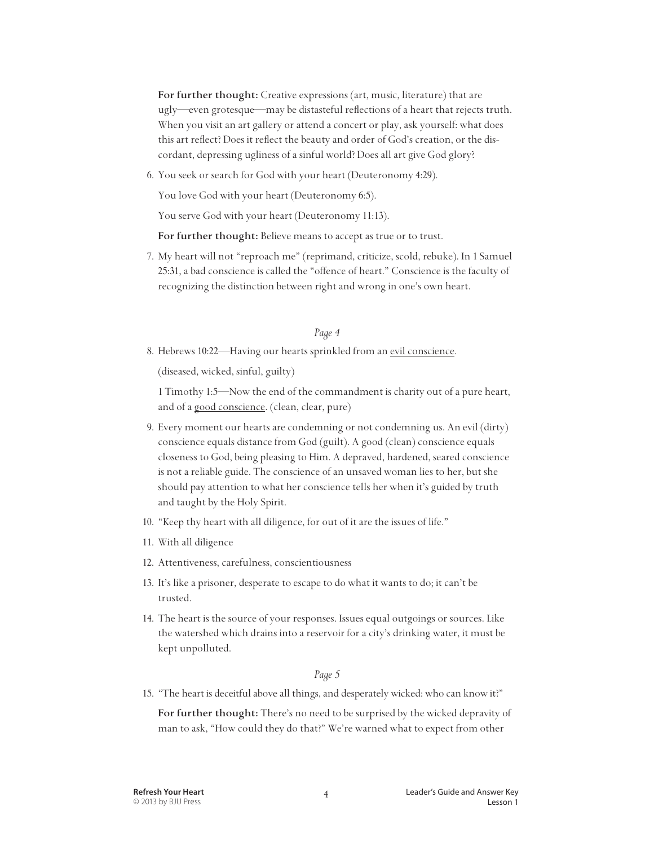**For further thought:** Creative expressions (art, music, literature) that are ugly—even grotesque—may be distasteful reflections of a heart that rejects truth. When you visit an art gallery or attend a concert or play, ask yourself: what does this art reflect? Does it reflect the beauty and order of God's creation, or the discordant, depressing ugliness of a sinful world? Does all art give God glory?

6. You seek or search for God with your heart (Deuteronomy 4:29).

You love God with your heart (Deuteronomy 6:5).

You serve God with your heart (Deuteronomy 11:13).

 **For further thought:** Believe means to accept as true or to trust.

7. My heart will not "reproach me" (reprimand, criticize, scold, rebuke). In 1 Samuel 25:31, a bad conscience is called the "offence of heart." Conscience is the faculty of recognizing the distinction between right and wrong in one's own heart.

#### *Page 4*

8. Hebrews 10:22—Having our hearts sprinkled from an evil conscience.

(diseased, wicked, sinful, guilty)

 1 Timothy 1:5—Now the end of the commandment is charity out of a pure heart, and of a good conscience. (clean, clear, pure)

- 9. Every moment our hearts are condemning or not condemning us. An evil (dirty) conscience equals distance from God (guilt). A good (clean) conscience equals closeness to God, being pleasing to Him. A depraved, hardened, seared conscience is not a reliable guide. The conscience of an unsaved woman lies to her, but she should pay attention to what her conscience tells her when it's guided by truth and taught by the Holy Spirit.
- 10. "Keep thy heart with all diligence, for out of it are the issues of life."
- 11. With all diligence
- 12. Attentiveness, carefulness, conscientiousness
- 13. It's like a prisoner, desperate to escape to do what it wants to do; it can't be trusted.
- 14. The heart is the source of your responses. Issues equal outgoings or sources. Like the watershed which drains into a reservoir for a city's drinking water, it must be kept unpolluted.

#### *Page 5*

15. "The heart is deceitful above all things, and desperately wicked: who can know it?"

 **For further thought:** There's no need to be surprised by the wicked depravity of man to ask, "How could they do that?" We're warned what to expect from other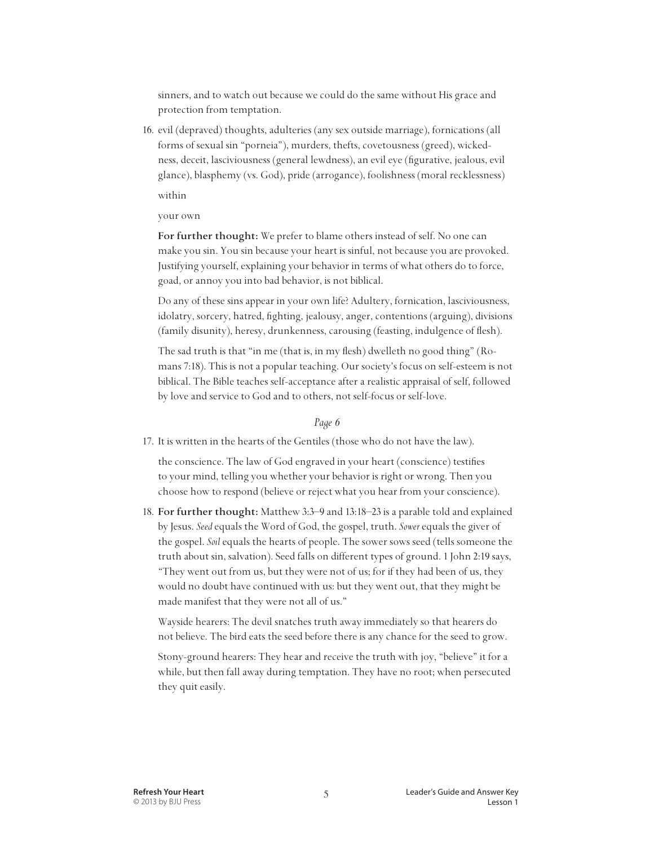sinners, and to watch out because we could do the same without His grace and protection from temptation.

16. evil (depraved) thoughts, adulteries (any sex outside marriage), fornications (all forms of sexual sin "porneia"), murders, thefts, covetousness (greed), wickedness, deceit, lasciviousness (general lewdness), an evil eye (figurative, jealous, evil glance), blasphemy (vs. God), pride (arrogance), foolishness (moral recklessness)

within

#### your own

 **For further thought:** We prefer to blame others instead of self. No one can make you sin. You sin because your heart is sinful, not because you are provoked. Justifying yourself, explaining your behavior in terms of what others do to force, goad, or annoy you into bad behavior, is not biblical.

 Do any of these sins appear in your own life? Adultery, fornication, lasciviousness, idolatry, sorcery, hatred, fighting, jealousy, anger, contentions (arguing), divisions (family disunity), heresy, drunkenness, carousing (feasting, indulgence of flesh).

 The sad truth is that "in me (that is, in my flesh) dwelleth no good thing" (Romans 7:18). This is not a popular teaching. Our society's focus on self-esteem is not biblical. The Bible teaches self-acceptance after a realistic appraisal of self, followed by love and service to God and to others, not self-focus or self-love.

#### *Page 6*

17. It is written in the hearts of the Gentiles (those who do not have the law).

 the conscience. The law of God engraved in your heart (conscience) testifies to your mind, telling you whether your behavior is right or wrong. Then you choose how to respond (believe or reject what you hear from your conscience).

18. **For further thought:** Matthew 3:3–9 and 13:18–23 is a parable told and explained by Jesus. *Seed* equals the Word of God, the gospel, truth. *Sower* equals the giver of the gospel. *Soil* equals the hearts of people. The sower sows seed (tells someone the truth about sin, salvation). Seed falls on different types of ground. 1 John 2:19 says, "They went out from us, but they were not of us; for if they had been of us, they would no doubt have continued with us: but they went out, that they might be made manifest that they were not all of us."

 Wayside hearers: The devil snatches truth away immediately so that hearers do not believe. The bird eats the seed before there is any chance for the seed to grow.

 Stony-ground hearers: They hear and receive the truth with joy, "believe" it for a while, but then fall away during temptation. They have no root; when persecuted they quit easily.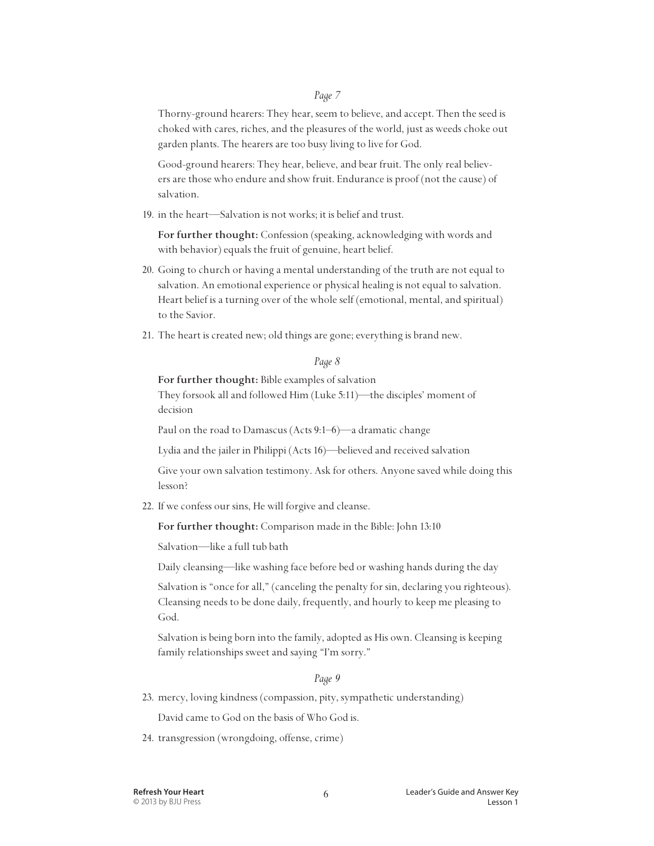Thorny-ground hearers: They hear, seem to believe, and accept. Then the seed is choked with cares, riches, and the pleasures of the world, just as weeds choke out garden plants. The hearers are too busy living to live for God.

 Good-ground hearers: They hear, believe, and bear fruit. The only real believers are those who endure and show fruit. Endurance is proof (not the cause) of salvation.

19. in the heart—Salvation is not works; it is belief and trust.

 **For further thought:** Confession (speaking, acknowledging with words and with behavior) equals the fruit of genuine, heart belief.

- 20. Going to church or having a mental understanding of the truth are not equal to salvation. An emotional experience or physical healing is not equal to salvation. Heart belief is a turning over of the whole self (emotional, mental, and spiritual) to the Savior.
- 21. The heart is created new; old things are gone; everything is brand new.

#### *Page 8*

 **For further thought:** Bible examples of salvation They forsook all and followed Him (Luke 5:11)—the disciples' moment of decision

Paul on the road to Damascus (Acts 9:1–6)—a dramatic change

Lydia and the jailer in Philippi (Acts 16)—believed and received salvation

 Give your own salvation testimony. Ask for others. Anyone saved while doing this lesson?

22. If we confess our sins, He will forgive and cleanse.

 **For further thought:** Comparison made in the Bible: John 13:10

Salvation—like a full tub bath

Daily cleansing—like washing face before bed or washing hands during the day

 Salvation is "once for all," (canceling the penalty for sin, declaring you righteous). Cleansing needs to be done daily, frequently, and hourly to keep me pleasing to God.

 Salvation is being born into the family, adopted as His own. Cleansing is keeping family relationships sweet and saying "I'm sorry."

#### *Page 9*

23. mercy, loving kindness (compassion, pity, sympathetic understanding)

David came to God on the basis of Who God is.

24. transgression (wrongdoing, offense, crime)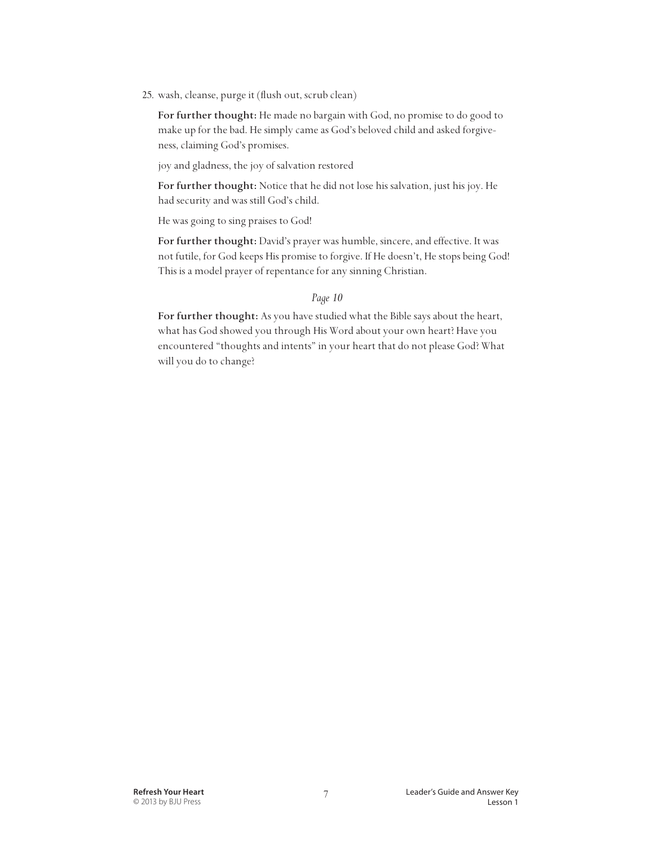25. wash, cleanse, purge it (flush out, scrub clean)

 **For further thought:** He made no bargain with God, no promise to do good to make up for the bad. He simply came as God's beloved child and asked forgiveness, claiming God's promises.

joy and gladness, the joy of salvation restored

 **For further thought:** Notice that he did not lose his salvation, just his joy. He had security and was still God's child.

He was going to sing praises to God!

 **For further thought:** David's prayer was humble, sincere, and effective. It was not futile, for God keeps His promise to forgive. If He doesn't, He stops being God! This is a model prayer of repentance for any sinning Christian.

#### *Page 10*

 **For further thought:** As you have studied what the Bible says about the heart, what has God showed you through His Word about your own heart? Have you encountered "thoughts and intents" in your heart that do not please God? What will you do to change?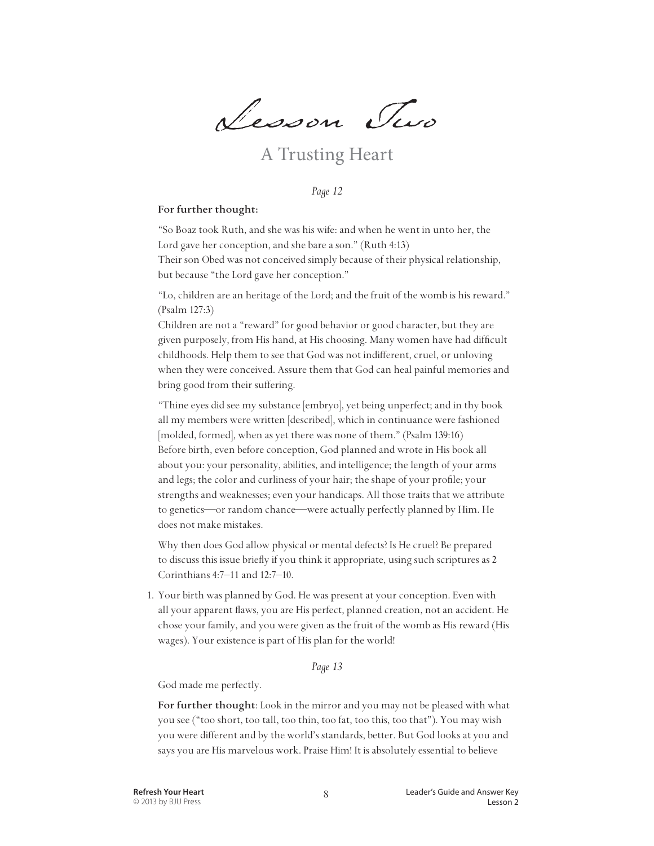Lesson Two

## A Trusting Heart

*Page 12*

#### **For further thought:**

 "So Boaz took Ruth, and she was his wife: and when he went in unto her, the Lord gave her conception, and she bare a son." (Ruth 4:13) Their son Obed was not conceived simply because of their physical relationship, but because "the Lord gave her conception."

 "Lo, children are an heritage of the Lord; and the fruit of the womb is his reward." (Psalm 127:3)

Children are not a "reward" for good behavior or good character, but they are given purposely, from His hand, at His choosing. Many women have had difficult childhoods. Help them to see that God was not indifferent, cruel, or unloving when they were conceived. Assure them that God can heal painful memories and bring good from their suffering.

 "Thine eyes did see my substance [embryo], yet being unperfect; and in thy book all my members were written [described], which in continuance were fashioned [molded, formed], when as yet there was none of them." (Psalm 139:16) Before birth, even before conception, God planned and wrote in His book all about you: your personality, abilities, and intelligence; the length of your arms and legs; the color and curliness of your hair; the shape of your profile; your strengths and weaknesses; even your handicaps. All those traits that we attribute to genetics—or random chance—were actually perfectly planned by Him. He does not make mistakes.

 Why then does God allow physical or mental defects? Is He cruel? Be prepared to discuss this issue briefly if you think it appropriate, using such scriptures as 2 Corinthians 4:7–11 and 12:7–10.

1. Your birth was planned by God. He was present at your conception. Even with all your apparent flaws, you are His perfect, planned creation, not an accident. He chose your family, and you were given as the fruit of the womb as His reward (His wages). Your existence is part of His plan for the world!

#### *Page 13*

God made me perfectly.

 **For further thought**: Look in the mirror and you may not be pleased with what you see ("too short, too tall, too thin, too fat, too this, too that"). You may wish you were different and by the world's standards, better. But God looks at you and says you are His marvelous work. Praise Him! It is absolutely essential to believe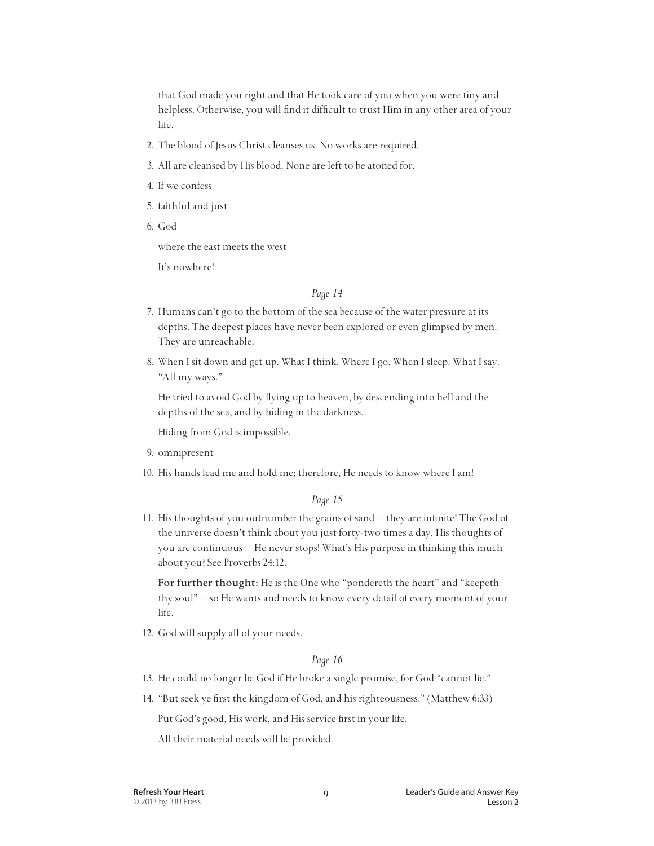that God made you right and that He took care of you when you were tiny and helpless. Otherwise, you will find it difficult to trust Him in any other area of your life.

- 2. The blood of Jesus Christ cleanses us. No works are required.
- 3. All are cleansed by His blood. None are left to be atoned for.
- 4. If we confess
- 5. faithful and just
- 6. God

where the east meets the west

It's nowhere!

#### *Page 14*

- 7. Humans can't go to the bottom of the sea because of the water pressure at its depths. The deepest places have never been explored or even glimpsed by men. They are unreachable.
- 8. When I sit down and get up. What I think. Where I go. When I sleep. What I say. "All my ways."

 He tried to avoid God by flying up to heaven, by descending into hell and the depths of the sea, and by hiding in the darkness.

Hiding from God is impossible.

- 9. omnipresent
- 10. His hands lead me and hold me; therefore, He needs to know where I am!

#### *Page 15*

11. His thoughts of you outnumber the grains of sand—they are infinite! The God of the universe doesn't think about you just forty-two times a day. His thoughts of you are continuous—He never stops! What's His purpose in thinking this much about you? See Proverbs 24:12.

 **For further thought:** He is the One who "pondereth the heart" and "keepeth thy soul"—so He wants and needs to know every detail of every moment of your life.

12. God will supply all of your needs.

#### *Page 16*

- 13. He could no longer be God if He broke a single promise, for God "cannot lie."
- 14. "But seek ye first the kingdom of God, and his righteousness." (Matthew 6:33)

Put God's good, His work, and His service first in your life.

All their material needs will be provided.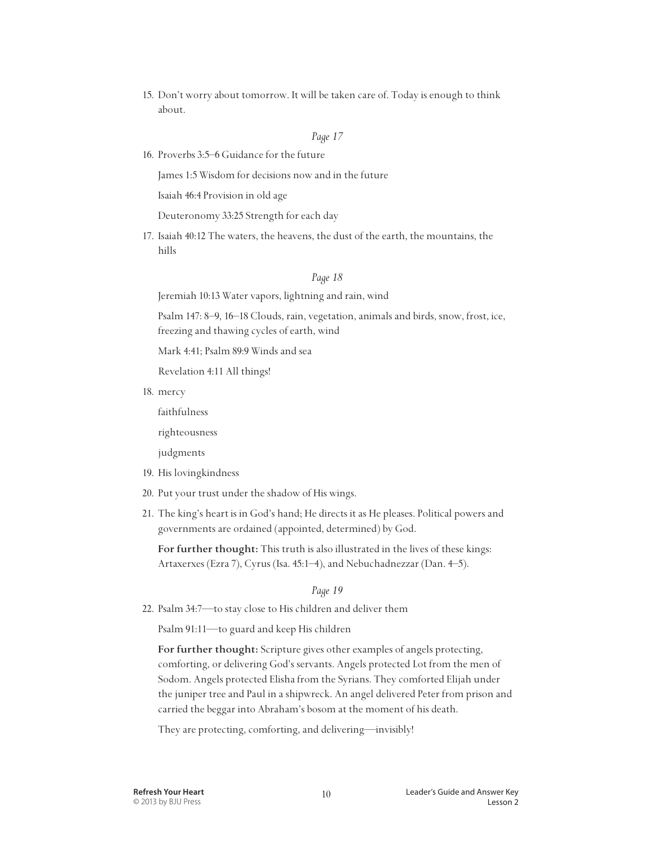15. Don't worry about tomorrow. It will be taken care of. Today is enough to think about.

#### *Page 17*

16. Proverbs 3:5–6 Guidance for the future

James 1:5 Wisdom for decisions now and in the future

Isaiah 46:4 Provision in old age

Deuteronomy 33:25 Strength for each day

17. Isaiah 40:12 The waters, the heavens, the dust of the earth, the mountains, the hills

#### *Page 18*

Jeremiah 10:13 Water vapors, lightning and rain, wind

 Psalm 147: 8–9, 16–18 Clouds, rain, vegetation, animals and birds, snow, frost, ice, freezing and thawing cycles of earth, wind

Mark 4:41; Psalm 89:9 Winds and sea

Revelation 4:11 All things!

18. mercy

faithfulness

righteousness

judgments

- 19. His lovingkindness
- 20. Put your trust under the shadow of His wings.
- 21. The king's heart is in God's hand; He directs it as He pleases. Political powers and governments are ordained (appointed, determined) by God.

 **For further thought:** This truth is also illustrated in the lives of these kings: Artaxerxes (Ezra 7), Cyrus (Isa. 45:1–4), and Nebuchadnezzar (Dan. 4–5).

*Page 19*

22. Psalm 34:7—to stay close to His children and deliver them

Psalm 91:11—to guard and keep His children

 **For further thought:** Scripture gives other examples of angels protecting, comforting, or delivering God's servants. Angels protected Lot from the men of Sodom. Angels protected Elisha from the Syrians. They comforted Elijah under the juniper tree and Paul in a shipwreck. An angel delivered Peter from prison and carried the beggar into Abraham's bosom at the moment of his death.

They are protecting, comforting, and delivering—invisibly!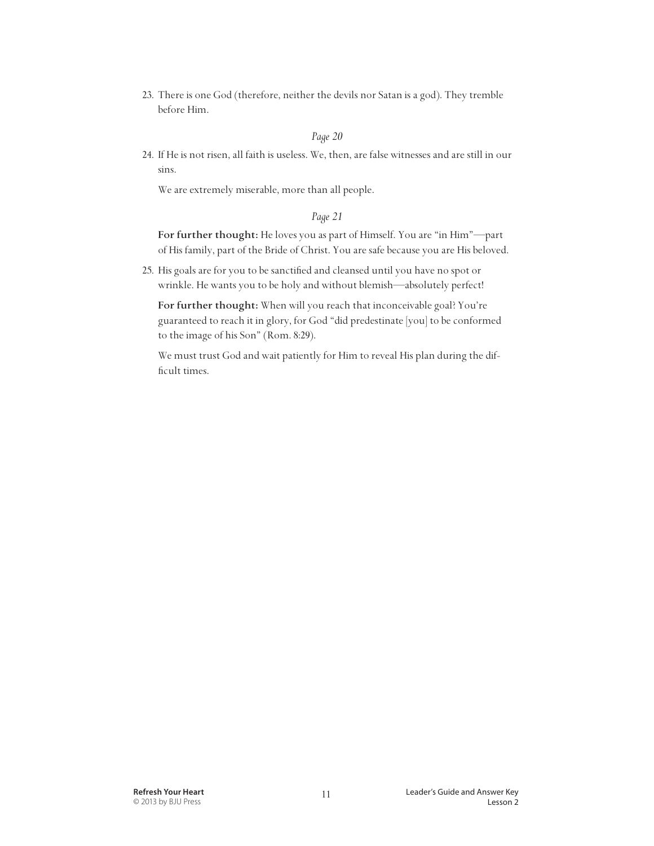23. There is one God (therefore, neither the devils nor Satan is a god). They tremble before Him.

#### *Page 20*

24. If He is not risen, all faith is useless. We, then, are false witnesses and are still in our sins.

We are extremely miserable, more than all people.

#### *Page 21*

 **For further thought:** He loves you as part of Himself. You are "in Him"—part of His family, part of the Bride of Christ. You are safe because you are His beloved.

25. His goals are for you to be sanctified and cleansed until you have no spot or wrinkle. He wants you to be holy and without blemish—absolutely perfect!

 **For further thought:** When will you reach that inconceivable goal? You're guaranteed to reach it in glory, for God "did predestinate [you] to be conformed to the image of his Son" (Rom. 8:29).

 We must trust God and wait patiently for Him to reveal His plan during the difficult times.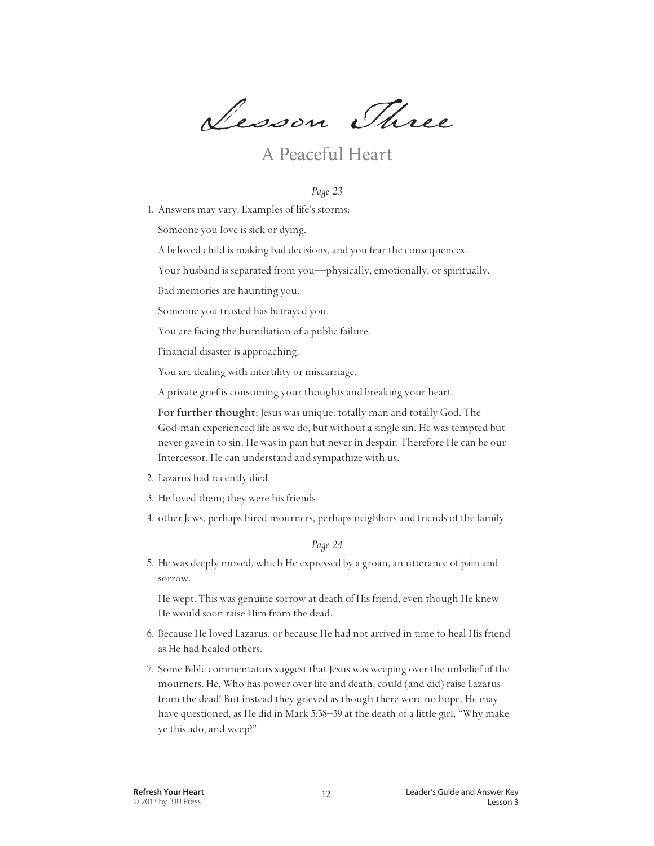Lesson Three

## A Peaceful Heart

#### *Page 23*

1. Answers may vary. Examples of life's storms:

Someone you love is sick or dying.

A beloved child is making bad decisions, and you fear the consequences.

Your husband is separated from you—physically, emotionally, or spiritually.

Bad memories are haunting you.

Someone you trusted has betrayed you.

You are facing the humiliation of a public failure.

Financial disaster is approaching.

You are dealing with infertility or miscarriage.

A private grief is consuming your thoughts and breaking your heart.

For further thought: Jesus was unique: totally man and totally God. The God-man experienced life as we do, but without a single sin. He was tempted but never gave in to sin. He was in pain but never in despair. Therefore He can be our Intercessor. He can understand and sympathize with us.

- 2. Lazarus had recently died.
- 3. He loved them; they were his friends.
- 4. other Jews, perhaps hired mourners, perhaps neighbors and friends of the family

*Page 24*

5. He was deeply moved, which He expressed by a groan, an utterance of pain and sorrow.

 He wept. This was genuine sorrow at death of His friend, even though He knew He would soon raise Him from the dead.

- 6. Because He loved Lazarus, or because He had not arrived in time to heal His friend as He had healed others.
- 7. Some Bible commentators suggest that Jesus was weeping over the unbelief of the mourners. He, Who has power over life and death, could (and did) raise Lazarus from the dead! But instead they grieved as though there were no hope. He may have questioned, as He did in Mark 5:38–39 at the death of a little girl, "Why make ye this ado, and weep?"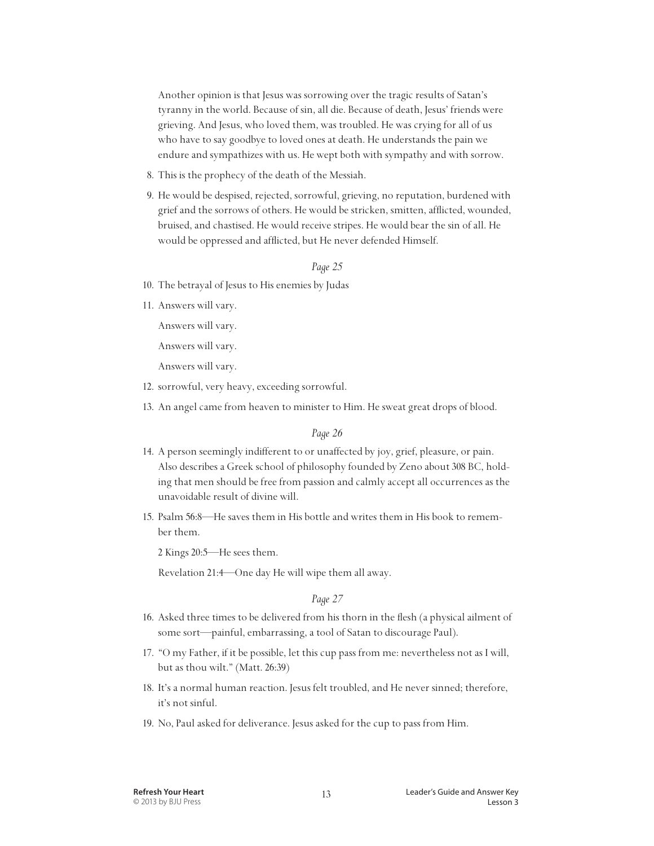Another opinion is that Jesus was sorrowing over the tragic results of Satan's tyranny in the world. Because of sin, all die. Because of death, Jesus' friends were grieving. And Jesus, who loved them, was troubled. He was crying for all of us who have to say goodbye to loved ones at death. He understands the pain we endure and sympathizes with us. He wept both with sympathy and with sorrow.

- 8. This is the prophecy of the death of the Messiah.
- 9. He would be despised, rejected, sorrowful, grieving, no reputation, burdened with grief and the sorrows of others. He would be stricken, smitten, afflicted, wounded, bruised, and chastised. He would receive stripes. He would bear the sin of all. He would be oppressed and afflicted, but He never defended Himself.

#### *Page 25*

- 10. The betrayal of Jesus to His enemies by Judas
- 11. Answers will vary.

Answers will vary.

Answers will vary.

Answers will vary.

- 12. sorrowful, very heavy, exceeding sorrowful.
- 13. An angel came from heaven to minister to Him. He sweat great drops of blood.

#### *Page 26*

- 14. A person seemingly indifferent to or unaffected by joy, grief, pleasure, or pain. Also describes a Greek school of philosophy founded by Zeno about 308 BC, holding that men should be free from passion and calmly accept all occurrences as the unavoidable result of divine will.
- 15. Psalm 56:8—He saves them in His bottle and writes them in His book to remember them.

2 Kings 20:5—He sees them.

Revelation 21:4—One day He will wipe them all away.

#### *Page 27*

- 16. Asked three times to be delivered from his thorn in the flesh (a physical ailment of some sort—painful, embarrassing, a tool of Satan to discourage Paul).
- 17. "O my Father, if it be possible, let this cup pass from me: nevertheless not as I will, but as thou wilt." (Matt. 26:39)
- 18. It's a normal human reaction. Jesus felt troubled, and He never sinned; therefore, it's not sinful.
- 19. No, Paul asked for deliverance. Jesus asked for the cup to pass from Him.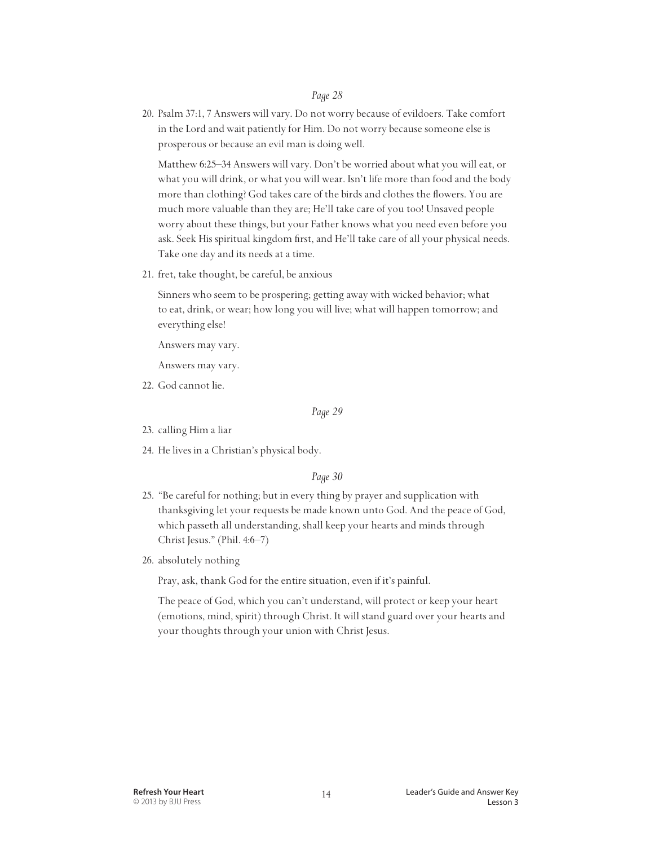20. Psalm 37:1, 7 Answers will vary. Do not worry because of evildoers. Take comfort in the Lord and wait patiently for Him. Do not worry because someone else is prosperous or because an evil man is doing well.

 Matthew 6:25–34 Answers will vary. Don't be worried about what you will eat, or what you will drink, or what you will wear. Isn't life more than food and the body more than clothing? God takes care of the birds and clothes the flowers. You are much more valuable than they are; He'll take care of you too! Unsaved people worry about these things, but your Father knows what you need even before you ask. Seek His spiritual kingdom first, and He'll take care of all your physical needs. Take one day and its needs at a time.

21. fret, take thought, be careful, be anxious

 Sinners who seem to be prospering; getting away with wicked behavior; what to eat, drink, or wear; how long you will live; what will happen tomorrow; and everything else!

Answers may vary.

Answers may vary.

22. God cannot lie.

*Page 29*

- 23. calling Him a liar
- 24. He lives in a Christian's physical body.

#### *Page 30*

- 25. "Be careful for nothing; but in every thing by prayer and supplication with thanksgiving let your requests be made known unto God. And the peace of God, which passeth all understanding, shall keep your hearts and minds through Christ Jesus." (Phil. 4:6–7)
- 26. absolutely nothing

Pray, ask, thank God for the entire situation, even if it's painful.

 The peace of God, which you can't understand, will protect or keep your heart (emotions, mind, spirit) through Christ. It will stand guard over your hearts and your thoughts through your union with Christ Jesus.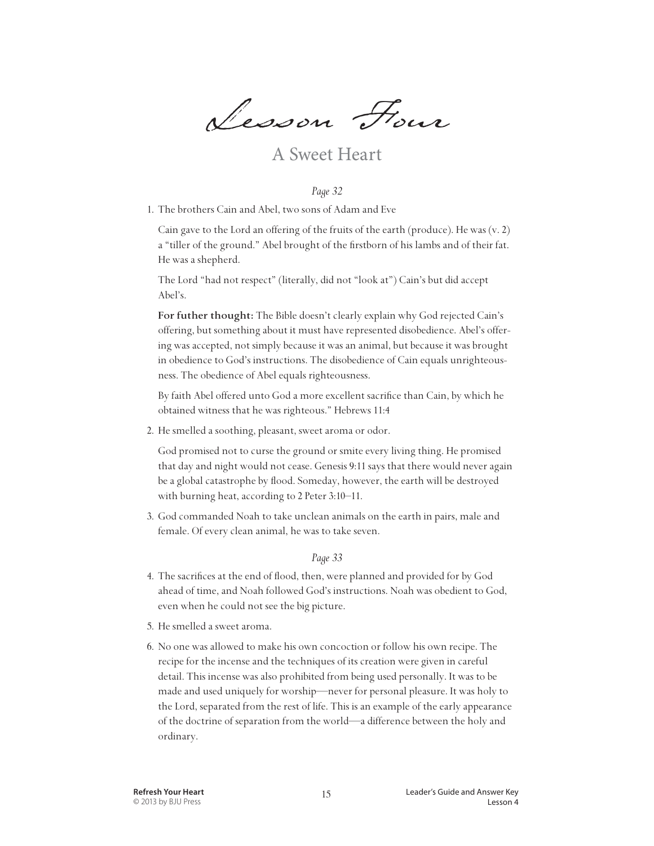Lesson Four

### A Sweet Heart

#### *Page 32*

1. The brothers Cain and Abel, two sons of Adam and Eve

 Cain gave to the Lord an offering of the fruits of the earth (produce). He was (v. 2) a "tiller of the ground." Abel brought of the firstborn of his lambs and of their fat. He was a shepherd.

 The Lord "had not respect" (literally, did not "look at") Cain's but did accept Abel's.

 **For futher thought:** The Bible doesn't clearly explain why God rejected Cain's offering, but something about it must have represented disobedience. Abel's offering was accepted, not simply because it was an animal, but because it was brought in obedience to God's instructions. The disobedience of Cain equals unrighteousness. The obedience of Abel equals righteousness.

 By faith Abel offered unto God a more excellent sacrifice than Cain, by which he obtained witness that he was righteous." Hebrews 11:4

2. He smelled a soothing, pleasant, sweet aroma or odor.

 God promised not to curse the ground or smite every living thing. He promised that day and night would not cease. Genesis 9:11 says that there would never again be a global catastrophe by flood. Someday, however, the earth will be destroyed with burning heat, according to 2 Peter 3:10–11.

3. God commanded Noah to take unclean animals on the earth in pairs, male and female. Of every clean animal, he was to take seven.

#### *Page 33*

- 4. The sacrifices at the end of flood, then, were planned and provided for by God ahead of time, and Noah followed God's instructions. Noah was obedient to God, even when he could not see the big picture.
- 5. He smelled a sweet aroma.
- 6. No one was allowed to make his own concoction or follow his own recipe. The recipe for the incense and the techniques of its creation were given in careful detail. This incense was also prohibited from being used personally. It was to be made and used uniquely for worship—never for personal pleasure. It was holy to the Lord, separated from the rest of life. This is an example of the early appearance of the doctrine of separation from the world—a difference between the holy and ordinary.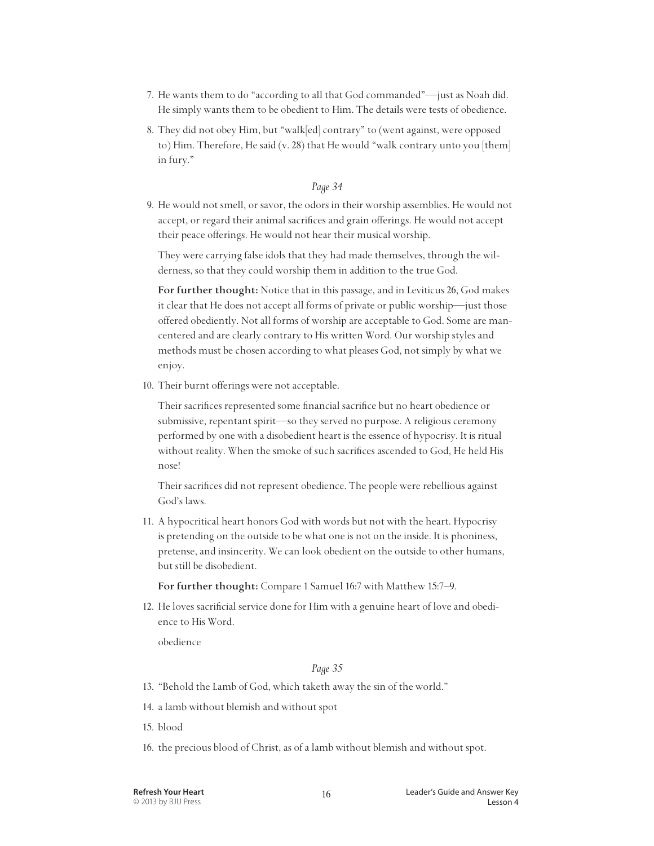- 7. He wants them to do "according to all that God commanded"—just as Noah did. He simply wants them to be obedient to Him. The details were tests of obedience.
- 8. They did not obey Him, but "walk[ed] contrary" to (went against, were opposed to) Him. Therefore, He said (v. 28) that He would "walk contrary unto you [them] in fury."

9. He would not smell, or savor, the odors in their worship assemblies. He would not accept, or regard their animal sacrifices and grain offerings. He would not accept their peace offerings. He would not hear their musical worship.

 They were carrying false idols that they had made themselves, through the wilderness, so that they could worship them in addition to the true God.

 **For further thought:** Notice that in this passage, and in Leviticus 26, God makes it clear that He does not accept all forms of private or public worship—just those offered obediently. Not all forms of worship are acceptable to God. Some are mancentered and are clearly contrary to His written Word. Our worship styles and methods must be chosen according to what pleases God, not simply by what we enjoy.

10. Their burnt offerings were not acceptable.

 Their sacrifices represented some financial sacrifice but no heart obedience or submissive, repentant spirit—so they served no purpose. A religious ceremony performed by one with a disobedient heart is the essence of hypocrisy. It is ritual without reality. When the smoke of such sacrifices ascended to God, He held His nose!

 Their sacrifices did not represent obedience. The people were rebellious against God's laws.

11. A hypocritical heart honors God with words but not with the heart. Hypocrisy is pretending on the outside to be what one is not on the inside. It is phoniness, pretense, and insincerity. We can look obedient on the outside to other humans, but still be disobedient.

 **For further thought:** Compare 1 Samuel 16:7 with Matthew 15:7–9.

12. He loves sacrificial service done for Him with a genuine heart of love and obedience to His Word.

obedience

#### *Page 35*

- 13. "Behold the Lamb of God, which taketh away the sin of the world."
- 14. a lamb without blemish and without spot
- 15. blood
- 16. the precious blood of Christ, as of a lamb without blemish and without spot.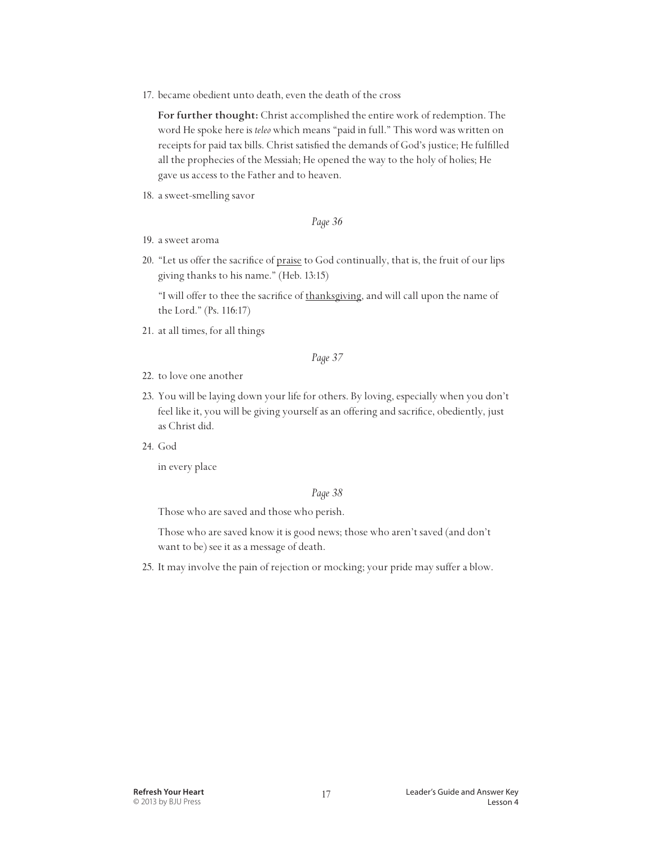17. became obedient unto death, even the death of the cross

 **For further thought:** Christ accomplished the entire work of redemption. The word He spoke here is *teleo* which means "paid in full." This word was written on receipts for paid tax bills. Christ satisfied the demands of God's justice; He fulfilled all the prophecies of the Messiah; He opened the way to the holy of holies; He gave us access to the Father and to heaven.

18. a sweet-smelling savor

#### *Page 36*

- 19. a sweet aroma
- 20. "Let us offer the sacrifice of praise to God continually, that is, the fruit of our lips giving thanks to his name." (Heb. 13:15)

 "I will offer to thee the sacrifice of thanksgiving, and will call upon the name of the Lord." (Ps. 116:17)

21. at all times, for all things

#### *Page 37*

- 22. to love one another
- 23. You will be laying down your life for others. By loving, especially when you don't feel like it, you will be giving yourself as an offering and sacrifice, obediently, just as Christ did.
- 24. God

in every place

#### *Page 38*

Those who are saved and those who perish.

 Those who are saved know it is good news; those who aren't saved (and don't want to be) see it as a message of death.

25. It may involve the pain of rejection or mocking; your pride may suffer a blow.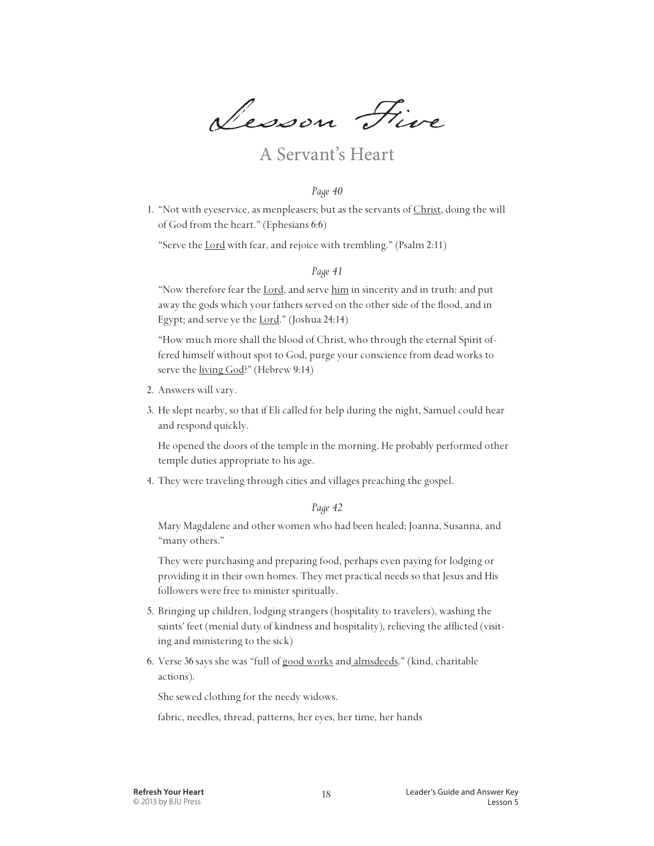Lesson Five

# A Servant's Heart

#### *Page 40*

1. "Not with eyeservice, as menpleasers; but as the servants of Christ, doing the will of God from the heart." (Ephesians 6:6)

"Serve the Lord with fear, and rejoice with trembling." (Psalm 2:11)

#### *Page 41*

"Now therefore fear the Lord, and serve him in sincerity and in truth: and put away the gods which your fathers served on the other side of the flood, and in Egypt; and serve ye the Lord." (Joshua 24:14)

 "How much more shall the blood of Christ, who through the eternal Spirit offered himself without spot to God, purge your conscience from dead works to serve the living God?" (Hebrew 9:14)

- 2. Answers will vary.
- 3. He slept nearby, so that if Eli called for help during the night, Samuel could hear and respond quickly.

 He opened the doors of the temple in the morning. He probably performed other temple duties appropriate to his age.

4. They were traveling through cities and villages preaching the gospel.

#### *Page 42*

 Mary Magdalene and other women who had been healed; Joanna, Susanna, and "many others."

 They were purchasing and preparing food, perhaps even paying for lodging or providing it in their own homes. They met practical needs so that Jesus and His followers were free to minister spiritually.

- 5. Bringing up children, lodging strangers (hospitality to travelers), washing the saints' feet (menial duty of kindness and hospitality), relieving the afflicted (visiting and ministering to the sick)
- 6. Verse 36 says she was "full of good works and almsdeeds." (kind, charitable actions).

She sewed clothing for the needy widows.

fabric, needles, thread, patterns, her eyes, her time, her hands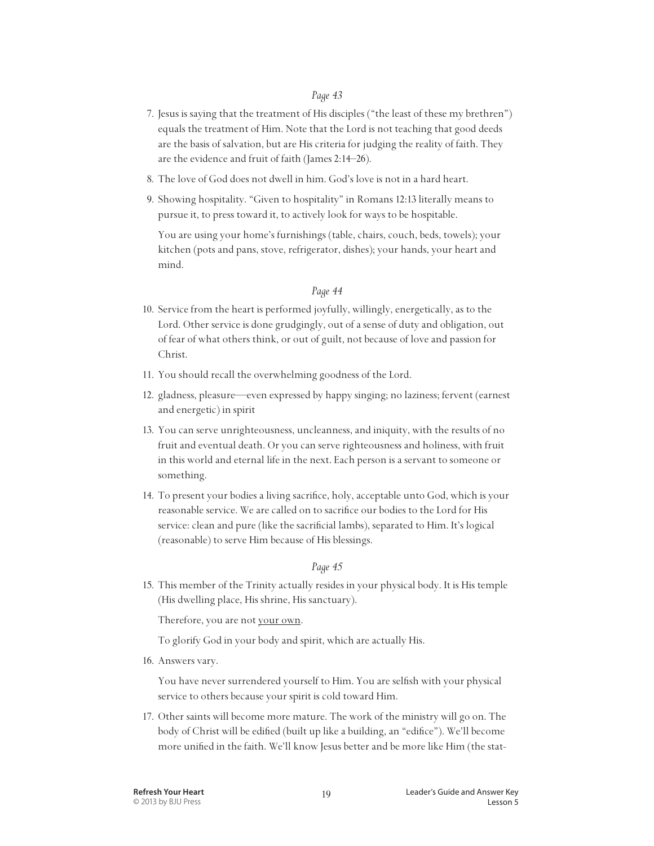- 7. Jesus is saying that the treatment of His disciples ("the least of these my brethren") equals the treatment of Him. Note that the Lord is not teaching that good deeds are the basis of salvation, but are His criteria for judging the reality of faith. They are the evidence and fruit of faith (James 2:14–26).
- 8. The love of God does not dwell in him. God's love is not in a hard heart.
- 9. Showing hospitality. "Given to hospitality" in Romans 12:13 literally means to pursue it, to press toward it, to actively look for ways to be hospitable.

 You are using your home's furnishings (table, chairs, couch, beds, towels); your kitchen (pots and pans, stove, refrigerator, dishes); your hands, your heart and mind.

#### *Page 44*

- 10. Service from the heart is performed joyfully, willingly, energetically, as to the Lord. Other service is done grudgingly, out of a sense of duty and obligation, out of fear of what others think, or out of guilt, not because of love and passion for Christ.
- 11. You should recall the overwhelming goodness of the Lord.
- 12. gladness, pleasure—even expressed by happy singing; no laziness; fervent (earnest and energetic) in spirit
- 13. You can serve unrighteousness, uncleanness, and iniquity, with the results of no fruit and eventual death. Or you can serve righteousness and holiness, with fruit in this world and eternal life in the next. Each person is a servant to someone or something.
- 14. To present your bodies a living sacrifice, holy, acceptable unto God, which is your reasonable service. We are called on to sacrifice our bodies to the Lord for His service: clean and pure (like the sacrificial lambs), separated to Him. It's logical (reasonable) to serve Him because of His blessings.

#### *Page 45*

15. This member of the Trinity actually resides in your physical body. It is His temple (His dwelling place, His shrine, His sanctuary).

Therefore, you are not your own.

To glorify God in your body and spirit, which are actually His.

16. Answers vary.

 You have never surrendered yourself to Him. You are selfish with your physical service to others because your spirit is cold toward Him.

17. Other saints will become more mature. The work of the ministry will go on. The body of Christ will be edified (built up like a building, an "edifice"). We'll become more unified in the faith. We'll know Jesus better and be more like Him (the stat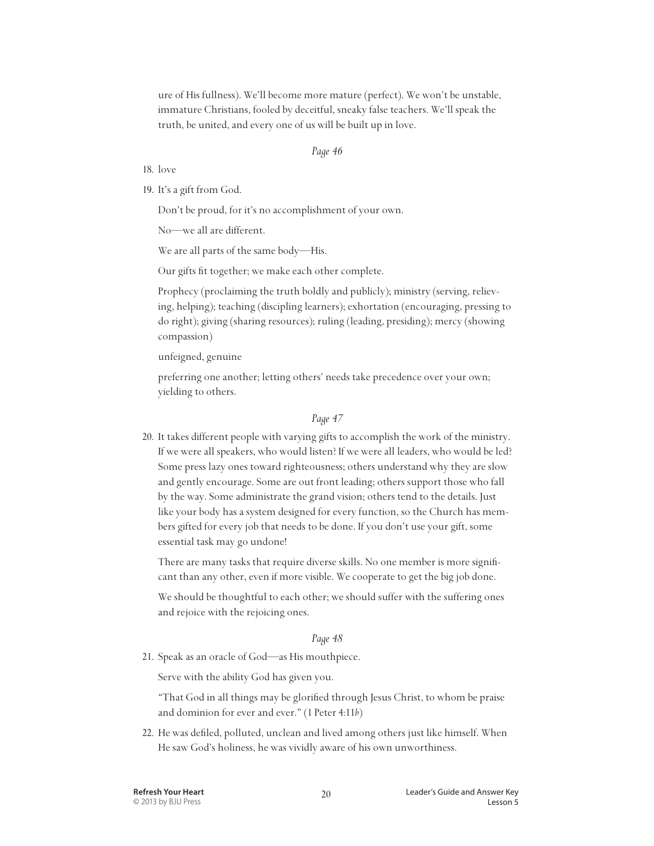ure of His fullness). We'll become more mature (perfect). We won't be unstable, immature Christians, fooled by deceitful, sneaky false teachers. We'll speak the truth, be united, and every one of us will be built up in love.

#### *Page 46*

- 18. love
- 19. It's a gift from God.

Don't be proud, for it's no accomplishment of your own.

No—we all are different.

We are all parts of the same body—His.

Our gifts fit together; we make each other complete.

 Prophecy (proclaiming the truth boldly and publicly); ministry (serving, relieving, helping); teaching (discipling learners); exhortation (encouraging, pressing to do right); giving (sharing resources); ruling (leading, presiding); mercy (showing compassion)

unfeigned, genuine

 preferring one another; letting others' needs take precedence over your own; yielding to others.

#### *Page 47*

20. It takes different people with varying gifts to accomplish the work of the ministry. If we were all speakers, who would listen? If we were all leaders, who would be led? Some press lazy ones toward righteousness; others understand why they are slow and gently encourage. Some are out front leading; others support those who fall by the way. Some administrate the grand vision; others tend to the details. Just like your body has a system designed for every function, so the Church has members gifted for every job that needs to be done. If you don't use your gift, some essential task may go undone!

 There are many tasks that require diverse skills. No one member is more significant than any other, even if more visible. We cooperate to get the big job done.

 We should be thoughtful to each other; we should suffer with the suffering ones and rejoice with the rejoicing ones.

#### *Page 48*

21. Speak as an oracle of God—as His mouthpiece.

Serve with the ability God has given you.

 "That God in all things may be glorified through Jesus Christ, to whom be praise and dominion for ever and ever." (1 Peter 4:11*b*)

22. He was defiled, polluted, unclean and lived among others just like himself. When He saw God's holiness, he was vividly aware of his own unworthiness.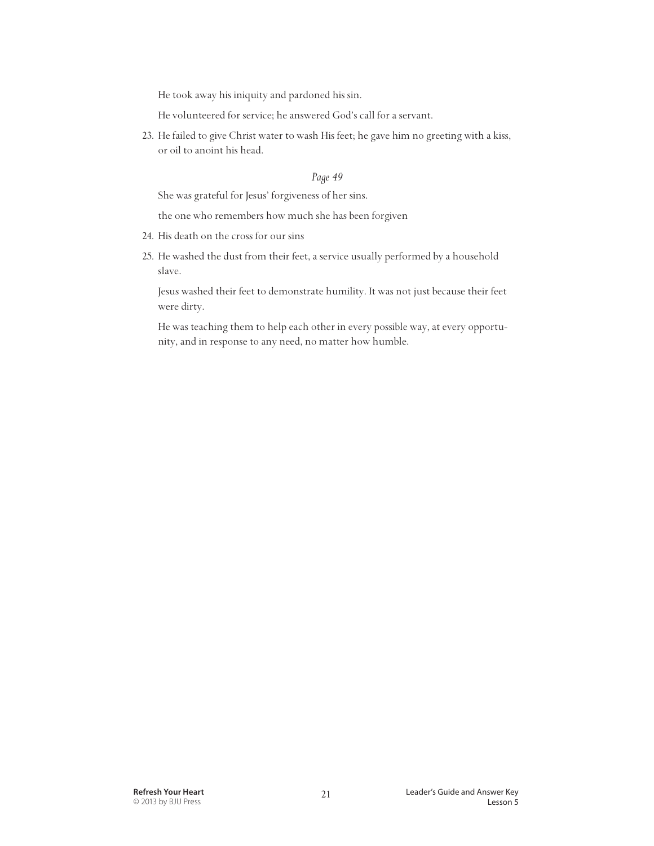He took away his iniquity and pardoned his sin.

He volunteered for service; he answered God's call for a servant.

23. He failed to give Christ water to wash His feet; he gave him no greeting with a kiss, or oil to anoint his head.

#### *Page 49*

She was grateful for Jesus' forgiveness of her sins.

the one who remembers how much she has been forgiven

- 24. His death on the cross for our sins
- 25. He washed the dust from their feet, a service usually performed by a household slave.

 Jesus washed their feet to demonstrate humility. It was not just because their feet were dirty.

 He was teaching them to help each other in every possible way, at every opportunity, and in response to any need, no matter how humble.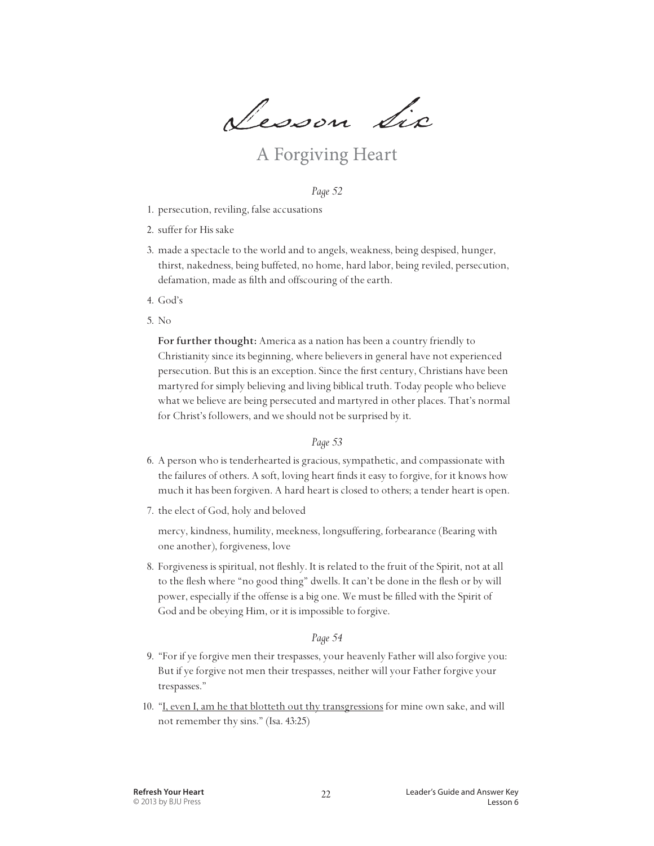Lesson Six

## A Forgiving Heart

#### *Page 52*

- 1. persecution, reviling, false accusations
- 2. suffer for His sake
- 3. made a spectacle to the world and to angels, weakness, being despised, hunger, thirst, nakedness, being buffeted, no home, hard labor, being reviled, persecution, defamation, made as filth and offscouring of the earth.
- 4. God's
- 5. No

 **For further thought:** America as a nation has been a country friendly to Christianity since its beginning, where believers in general have not experienced persecution. But this is an exception. Since the first century, Christians have been martyred for simply believing and living biblical truth. Today people who believe what we believe are being persecuted and martyred in other places. That's normal for Christ's followers, and we should not be surprised by it.

#### *Page 53*

- 6. A person who is tenderhearted is gracious, sympathetic, and compassionate with the failures of others. A soft, loving heart finds it easy to forgive, for it knows how much it has been forgiven. A hard heart is closed to others; a tender heart is open.
- 7. the elect of God, holy and beloved

 mercy, kindness, humility, meekness, longsuffering, forbearance (Bearing with one another), forgiveness, love

8. Forgiveness is spiritual, not fleshly. It is related to the fruit of the Spirit, not at all to the flesh where "no good thing" dwells. It can't be done in the flesh or by will power, especially if the offense is a big one. We must be filled with the Spirit of God and be obeying Him, or it is impossible to forgive.

#### *Page 54*

- 9. "For if ye forgive men their trespasses, your heavenly Father will also forgive you: But if ye forgive not men their trespasses, neither will your Father forgive your trespasses."
- 10. "I, even I, am he that blotteth out thy transgressions for mine own sake, and will not remember thy sins." (Isa. 43:25)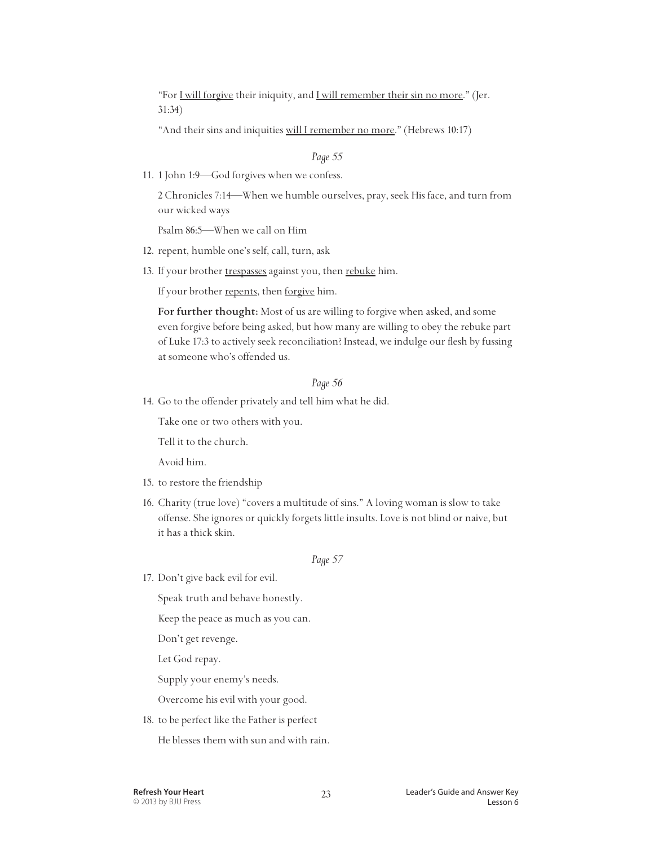"For I will forgive their iniquity, and I will remember their sin no more." (Jer. 31:34)

"And their sins and iniquities will I remember no more." (Hebrews 10:17)

#### *Page 55*

11. 1 John 1:9—God forgives when we confess.

 2 Chronicles 7:14—When we humble ourselves, pray, seek His face, and turn from our wicked ways

Psalm 86:5—When we call on Him

- 12. repent, humble one's self, call, turn, ask
- 13. If your brother trespasses against you, then rebuke him.

If your brother repents, then forgive him.

 **For further thought:** Most of us are willing to forgive when asked, and some even forgive before being asked, but how many are willing to obey the rebuke part of Luke 17:3 to actively seek reconciliation? Instead, we indulge our flesh by fussing at someone who's offended us.

#### *Page 56*

14. Go to the offender privately and tell him what he did.

Take one or two others with you.

Tell it to the church.

Avoid him.

- 15. to restore the friendship
- 16. Charity (true love) "covers a multitude of sins." A loving woman is slow to take offense. She ignores or quickly forgets little insults. Love is not blind or naive, but it has a thick skin.

#### *Page 57*

17. Don't give back evil for evil.

Speak truth and behave honestly.

Keep the peace as much as you can.

Don't get revenge.

Let God repay.

Supply your enemy's needs.

Overcome his evil with your good.

18. to be perfect like the Father is perfect

He blesses them with sun and with rain.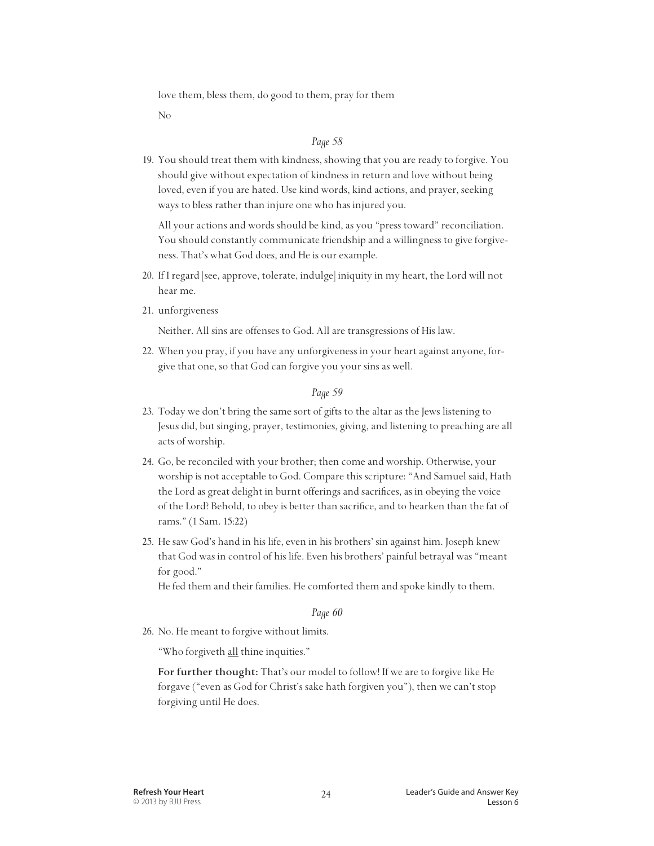love them, bless them, do good to them, pray for them

No

#### *Page 58*

19. You should treat them with kindness, showing that you are ready to forgive. You should give without expectation of kindness in return and love without being loved, even if you are hated. Use kind words, kind actions, and prayer, seeking ways to bless rather than injure one who has injured you.

 All your actions and words should be kind, as you "press toward" reconciliation. You should constantly communicate friendship and a willingness to give forgiveness. That's what God does, and He is our example.

- 20. If I regard [see, approve, tolerate, indulge] iniquity in my heart, the Lord will not hear me.
- 21. unforgiveness

Neither. All sins are offenses to God. All are transgressions of His law.

22. When you pray, if you have any unforgiveness in your heart against anyone, forgive that one, so that God can forgive you your sins as well.

#### *Page 59*

- 23. Today we don't bring the same sort of gifts to the altar as the Jews listening to Jesus did, but singing, prayer, testimonies, giving, and listening to preaching are all acts of worship.
- 24. Go, be reconciled with your brother; then come and worship. Otherwise, your worship is not acceptable to God. Compare this scripture: "And Samuel said, Hath the Lord as great delight in burnt offerings and sacrifices, as in obeying the voice of the Lord? Behold, to obey is better than sacrifice, and to hearken than the fat of rams." (1 Sam. 15:22)
- 25. He saw God's hand in his life, even in his brothers' sin against him. Joseph knew that God was in control of his life. Even his brothers' painful betrayal was "meant for good."

He fed them and their families. He comforted them and spoke kindly to them.

#### *Page 60*

26. No. He meant to forgive without limits.

"Who forgiveth all thine inquities."

 **For further thought:** That's our model to follow! If we are to forgive like He forgave ("even as God for Christ's sake hath forgiven you"), then we can't stop forgiving until He does.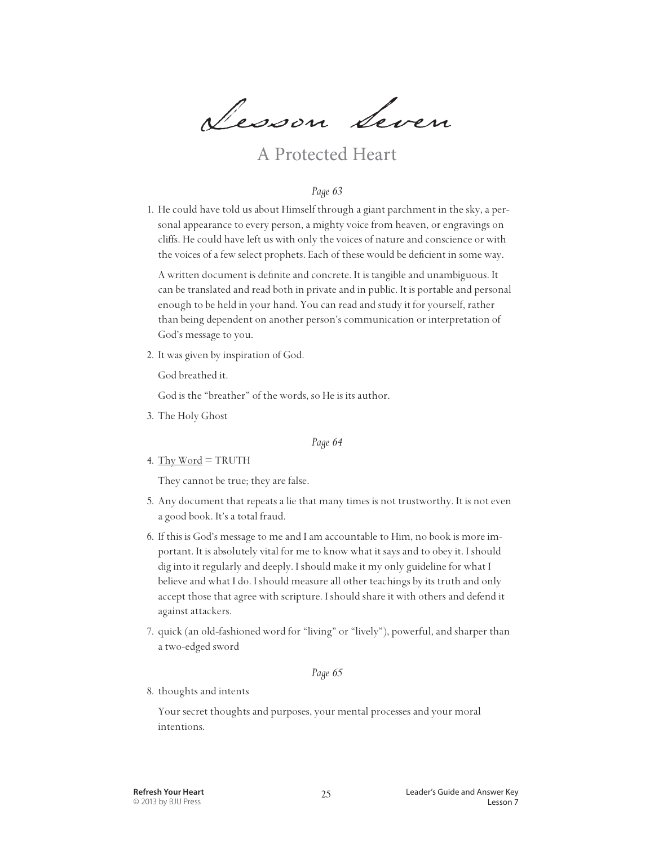Lesson Seven

## A Protected Heart

#### *Page 63*

1. He could have told us about Himself through a giant parchment in the sky, a personal appearance to every person, a mighty voice from heaven, or engravings on cliffs. He could have left us with only the voices of nature and conscience or with the voices of a few select prophets. Each of these would be deficient in some way.

 A written document is definite and concrete. It is tangible and unambiguous. It can be translated and read both in private and in public. It is portable and personal enough to be held in your hand. You can read and study it for yourself, rather than being dependent on another person's communication or interpretation of God's message to you.

2. It was given by inspiration of God.

God breathed it.

God is the "breather" of the words, so He is its author.

3. The Holy Ghost

#### *Page 64*

4. Thy Word = TRUTH

They cannot be true; they are false.

- 5. Any document that repeats a lie that many times is not trustworthy. It is not even a good book. It's a total fraud.
- 6. If this is God's message to me and I am accountable to Him, no book is more important. It is absolutely vital for me to know what it says and to obey it. I should dig into it regularly and deeply. I should make it my only guideline for what I believe and what I do. I should measure all other teachings by its truth and only accept those that agree with scripture. I should share it with others and defend it against attackers.
- 7. quick (an old-fashioned word for "living" or "lively"), powerful, and sharper than a two-edged sword

#### *Page 65*

8. thoughts and intents

 Your secret thoughts and purposes, your mental processes and your moral intentions.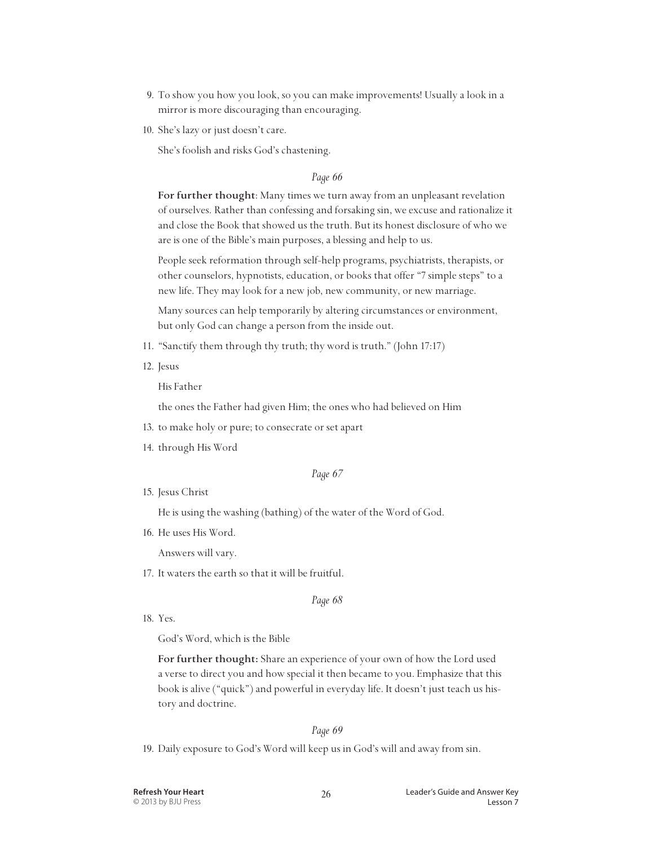- 9. To show you how you look, so you can make improvements! Usually a look in a mirror is more discouraging than encouraging.
- 10. She's lazy or just doesn't care.

She's foolish and risks God's chastening.

#### *Page 66*

 **For further thought**: Many times we turn away from an unpleasant revelation of ourselves. Rather than confessing and forsaking sin, we excuse and rationalize it and close the Book that showed us the truth. But its honest disclosure of who we are is one of the Bible's main purposes, a blessing and help to us.

 People seek reformation through self-help programs, psychiatrists, therapists, or other counselors, hypnotists, education, or books that offer "7 simple steps" to a new life. They may look for a new job, new community, or new marriage.

 Many sources can help temporarily by altering circumstances or environment, but only God can change a person from the inside out.

- 11. "Sanctify them through thy truth; thy word is truth." (John 17:17)
- 12. Jesus

His Father

the ones the Father had given Him; the ones who had believed on Him

- 13. to make holy or pure; to consecrate or set apart
- 14. through His Word

#### *Page 67*

15. Jesus Christ

He is using the washing (bathing) of the water of the Word of God.

16. He uses His Word.

Answers will vary.

17. It waters the earth so that it will be fruitful.

*Page 68*

18. Yes.

God's Word, which is the Bible

 **For further thought:** Share an experience of your own of how the Lord used a verse to direct you and how special it then became to you. Emphasize that this book is alive ("quick") and powerful in everyday life. It doesn't just teach us history and doctrine.

#### *Page 69*

19. Daily exposure to God's Word will keep us in God's will and away from sin.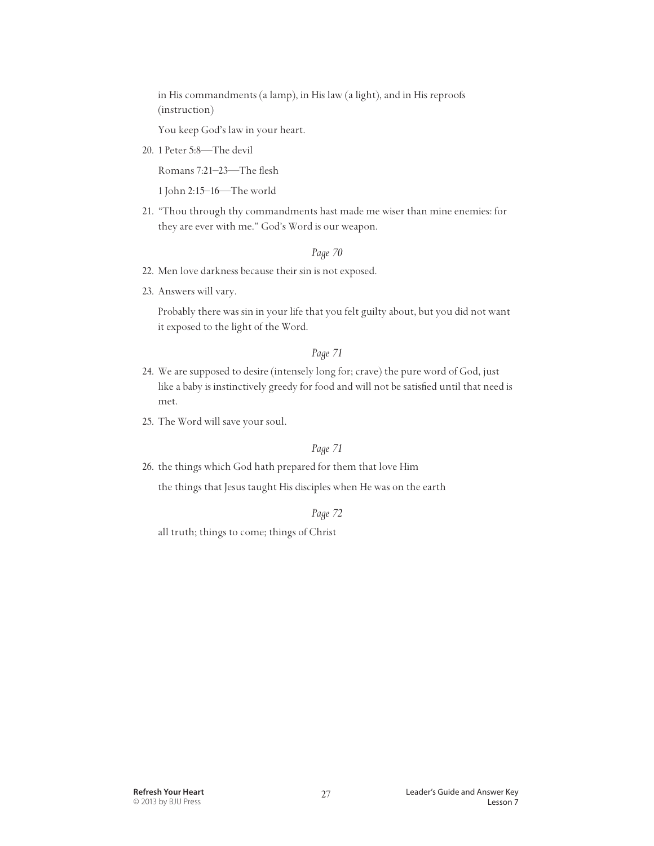in His commandments (a lamp), in His law (a light), and in His reproofs (instruction)

You keep God's law in your heart.

20. 1 Peter 5:8—The devil

Romans 7:21–23—The flesh

1 John 2:15–16—The world

21. "Thou through thy commandments hast made me wiser than mine enemies: for they are ever with me." God's Word is our weapon.

#### *Page 70*

- 22. Men love darkness because their sin is not exposed.
- 23. Answers will vary.

 Probably there was sin in your life that you felt guilty about, but you did not want it exposed to the light of the Word.

#### *Page 71*

- 24. We are supposed to desire (intensely long for; crave) the pure word of God, just like a baby is instinctively greedy for food and will not be satisfied until that need is met.
- 25. The Word will save your soul.

#### *Page 71*

26. the things which God hath prepared for them that love Him

the things that Jesus taught His disciples when He was on the earth

#### *Page 72*

all truth; things to come; things of Christ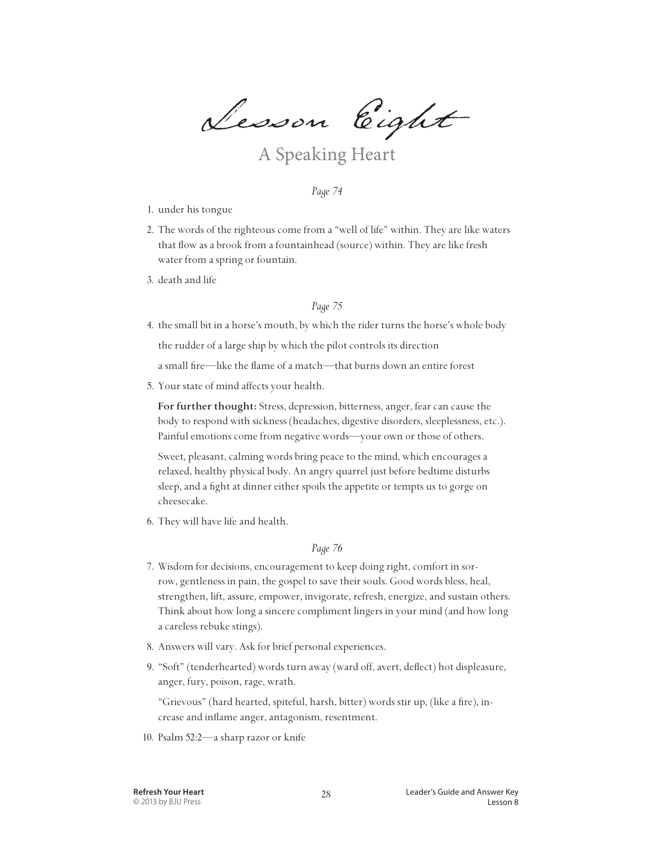Lesson Eight

## A Speaking Heart

#### *Page 74*

- 1. under his tongue
- 2. The words of the righteous come from a "well of life" within. They are like waters that flow as a brook from a fountainhead (source) within. They are like fresh water from a spring or fountain.
- 3. death and life

#### *Page 75*

4. the small bit in a horse's mouth, by which the rider turns the horse's whole body

the rudder of a large ship by which the pilot controls its direction

a small fire—like the flame of a match—that burns down an entire forest

5. Your state of mind affects your health.

 **For further thought:** Stress, depression, bitterness, anger, fear can cause the body to respond with sickness (headaches, digestive disorders, sleeplessness, etc.). Painful emotions come from negative words—your own or those of others.

 Sweet, pleasant, calming words bring peace to the mind, which encourages a relaxed, healthy physical body. An angry quarrel just before bedtime disturbs sleep, and a fight at dinner either spoils the appetite or tempts us to gorge on cheesecake.

6. They will have life and health.

#### *Page 76*

- 7. Wisdom for decisions, encouragement to keep doing right, comfort in sorrow, gentleness in pain, the gospel to save their souls. Good words bless, heal, strengthen, lift, assure, empower, invigorate, refresh, energize, and sustain others. Think about how long a sincere compliment lingers in your mind (and how long a careless rebuke stings).
- 8. Answers will vary. Ask for brief personal experiences.
- 9. "Soft" (tenderhearted) words turn away (ward off, avert, deflect) hot displeasure, anger, fury, poison, rage, wrath.

 "Grievous" (hard hearted, spiteful, harsh, bitter) words stir up, (like a fire), increase and inflame anger, antagonism, resentment.

10. Psalm 52:2—a sharp razor or knife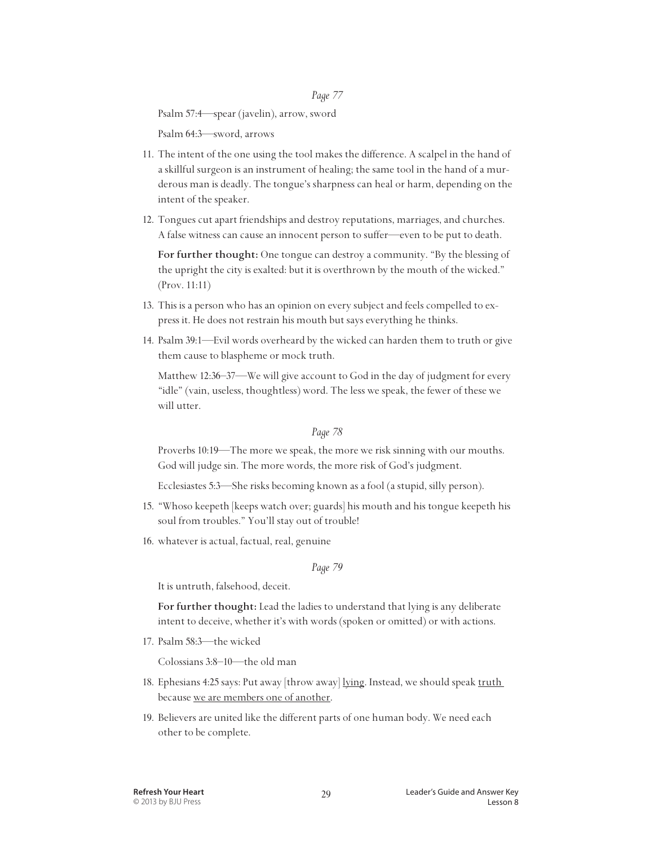Psalm 57:4—spear (javelin), arrow, sword

Psalm 64:3—sword, arrows

- 11. The intent of the one using the tool makes the difference. A scalpel in the hand of a skillful surgeon is an instrument of healing; the same tool in the hand of a murderous man is deadly. The tongue's sharpness can heal or harm, depending on the intent of the speaker.
- 12. Tongues cut apart friendships and destroy reputations, marriages, and churches. A false witness can cause an innocent person to suffer—even to be put to death.

 **For further thought:** One tongue can destroy a community. "By the blessing of the upright the city is exalted: but it is overthrown by the mouth of the wicked." (Prov. 11:11)

- 13. This is a person who has an opinion on every subject and feels compelled to express it. He does not restrain his mouth but says everything he thinks.
- 14. Psalm 39:1—Evil words overheard by the wicked can harden them to truth or give them cause to blaspheme or mock truth.

 Matthew 12:36–37—We will give account to God in the day of judgment for every "idle" (vain, useless, thoughtless) word. The less we speak, the fewer of these we will utter.

#### *Page 78*

 Proverbs 10:19—The more we speak, the more we risk sinning with our mouths. God will judge sin. The more words, the more risk of God's judgment.

Ecclesiastes 5:3—She risks becoming known as a fool (a stupid, silly person).

- 15. "Whoso keepeth [keeps watch over; guards] his mouth and his tongue keepeth his soul from troubles." You'll stay out of trouble!
- 16. whatever is actual, factual, real, genuine

#### *Page 79*

It is untruth, falsehood, deceit.

 **For further thought:** Lead the ladies to understand that lying is any deliberate intent to deceive, whether it's with words (spoken or omitted) or with actions.

17. Psalm 58:3—the wicked

Colossians 3:8–10—the old man

- 18. Ephesians 4:25 says: Put away [throw away] lying. Instead, we should speak truth because we are members one of another.
- 19. Believers are united like the different parts of one human body. We need each other to be complete.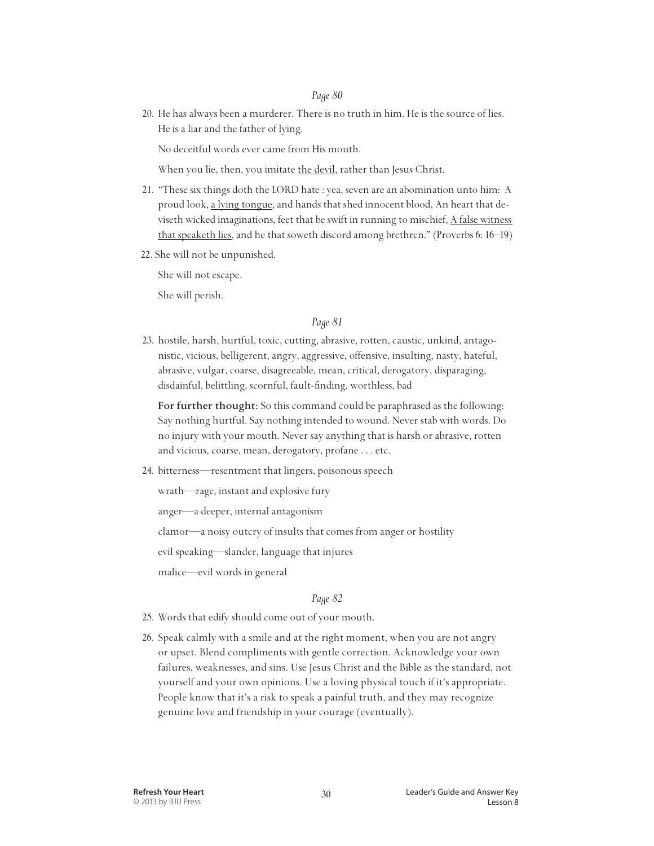20. He has always been a murderer. There is no truth in him. He is the source of lies. He is a liar and the father of lying.

No deceitful words ever came from His mouth.

When you lie, then, you imitate the devil, rather than Jesus Christ.

- 21. "These six things doth the LORD hate : yea, seven are an abomination unto him: A proud look, a lying tongue, and hands that shed innocent blood, An heart that deviseth wicked imaginations, feet that be swift in running to mischief, A false witness that speaketh lies, and he that soweth discord among brethren." (Proverbs 6: 16–19)
- 22. She will not be unpunished.

She will not escape.

She will perish.

#### *Page 81*

23. hostile, harsh, hurtful, toxic, cutting, abrasive, rotten, caustic, unkind, antagonistic, vicious, belligerent, angry, aggressive, offensive, insulting, nasty, hateful, abrasive, vulgar, coarse, disagreeable, mean, critical, derogatory, disparaging, disdainful, belittling, scornful, fault-finding, worthless, bad

 **For further thought:** So this command could be paraphrased as the following: Say nothing hurtful. Say nothing intended to wound. Never stab with words. Do no injury with your mouth. Never say anything that is harsh or abrasive, rotten and vicious, coarse, mean, derogatory, profane . . . etc.

24. bitterness—resentment that lingers, poisonous speech

wrath—rage, instant and explosive fury

anger—a deeper, internal antagonism

clamor—a noisy outcry of insults that comes from anger or hostility

evil speaking—slander, language that injures

malice—evil words in general

#### *Page 82*

- 25. Words that edify should come out of your mouth.
- 26. Speak calmly with a smile and at the right moment, when you are not angry or upset. Blend compliments with gentle correction. Acknowledge your own failures, weaknesses, and sins. Use Jesus Christ and the Bible as the standard, not yourself and your own opinions. Use a loving physical touch if it's appropriate. People know that it's a risk to speak a painful truth, and they may recognize genuine love and friendship in your courage (eventually).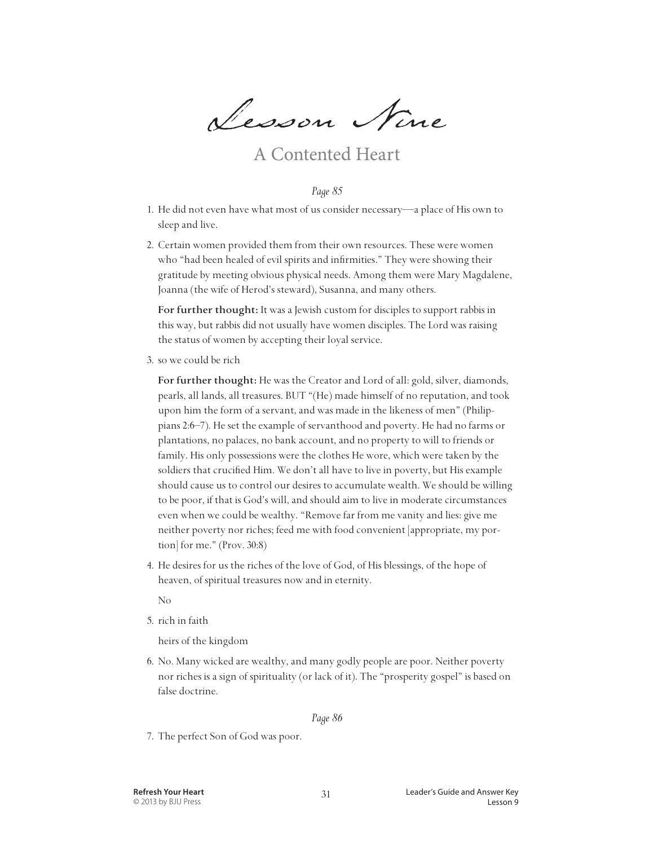Lesson Nine

### A Contented Heart

#### *Page 85*

- 1. He did not even have what most of us consider necessary—a place of His own to sleep and live.
- 2. Certain women provided them from their own resources. These were women who "had been healed of evil spirits and infirmities." They were showing their gratitude by meeting obvious physical needs. Among them were Mary Magdalene, Joanna (the wife of Herod's steward), Susanna, and many others.

 **For further thought:** It was a Jewish custom for disciples to support rabbis in this way, but rabbis did not usually have women disciples. The Lord was raising the status of women by accepting their loyal service.

3. so we could be rich

 **For further thought:** He was the Creator and Lord of all: gold, silver, diamonds, pearls, all lands, all treasures. BUT "(He) made himself of no reputation, and took upon him the form of a servant, and was made in the likeness of men" (Philippians 2:6–7). He set the example of servanthood and poverty. He had no farms or plantations, no palaces, no bank account, and no property to will to friends or family. His only possessions were the clothes He wore, which were taken by the soldiers that crucified Him. We don't all have to live in poverty, but His example should cause us to control our desires to accumulate wealth. We should be willing to be poor, if that is God's will, and should aim to live in moderate circumstances even when we could be wealthy. "Remove far from me vanity and lies: give me neither poverty nor riches; feed me with food convenient [appropriate, my portion] for me." (Prov. 30:8)

4. He desires for us the riches of the love of God, of His blessings, of the hope of heaven, of spiritual treasures now and in eternity.

No

5. rich in faith

heirs of the kingdom

6. No. Many wicked are wealthy, and many godly people are poor. Neither poverty nor riches is a sign of spirituality (or lack of it). The "prosperity gospel" is based on false doctrine.

#### *Page 86*

7. The perfect Son of God was poor.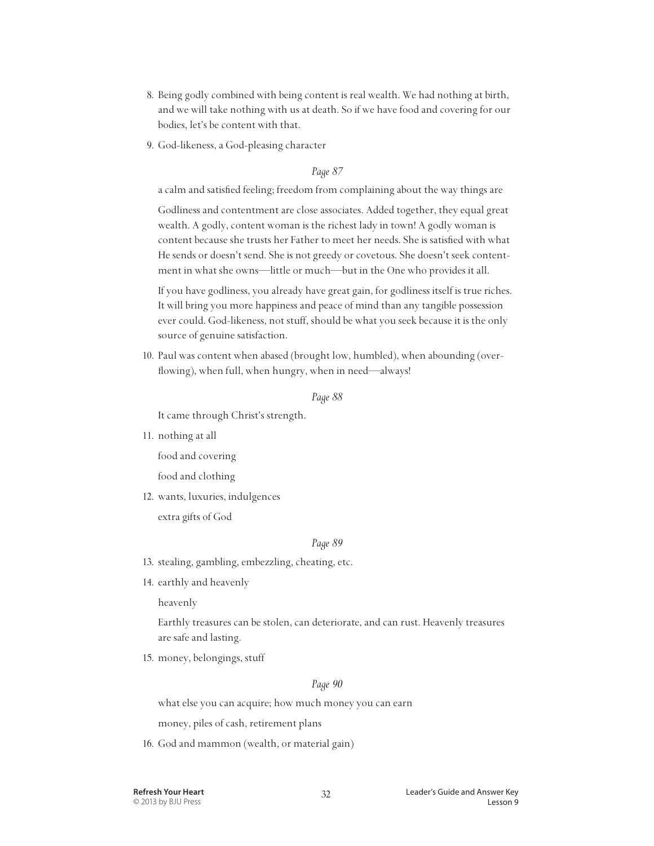- 8. Being godly combined with being content is real wealth. We had nothing at birth, and we will take nothing with us at death. So if we have food and covering for our bodies, let's be content with that.
- 9. God-likeness, a God-pleasing character

a calm and satisfied feeling; freedom from complaining about the way things are

 Godliness and contentment are close associates. Added together, they equal great wealth. A godly, content woman is the richest lady in town! A godly woman is content because she trusts her Father to meet her needs. She is satisfied with what He sends or doesn't send. She is not greedy or covetous. She doesn't seek contentment in what she owns—little or much—but in the One who provides it all.

 If you have godliness, you already have great gain, for godliness itself is true riches. It will bring you more happiness and peace of mind than any tangible possession ever could. God-likeness, not stuff, should be what you seek because it is the only source of genuine satisfaction.

10. Paul was content when abased (brought low, humbled), when abounding (overflowing), when full, when hungry, when in need—always!

#### *Page 88*

It came through Christ's strength.

11. nothing at all

food and covering

food and clothing

12. wants, luxuries, indulgences

extra gifts of God

#### *Page 89*

- 13. stealing, gambling, embezzling, cheating, etc.
- 14. earthly and heavenly

heavenly

 Earthly treasures can be stolen, can deteriorate, and can rust. Heavenly treasures are safe and lasting.

15. money, belongings, stuff

#### *Page 90*

what else you can acquire; how much money you can earn

money, piles of cash, retirement plans

16. God and mammon (wealth, or material gain)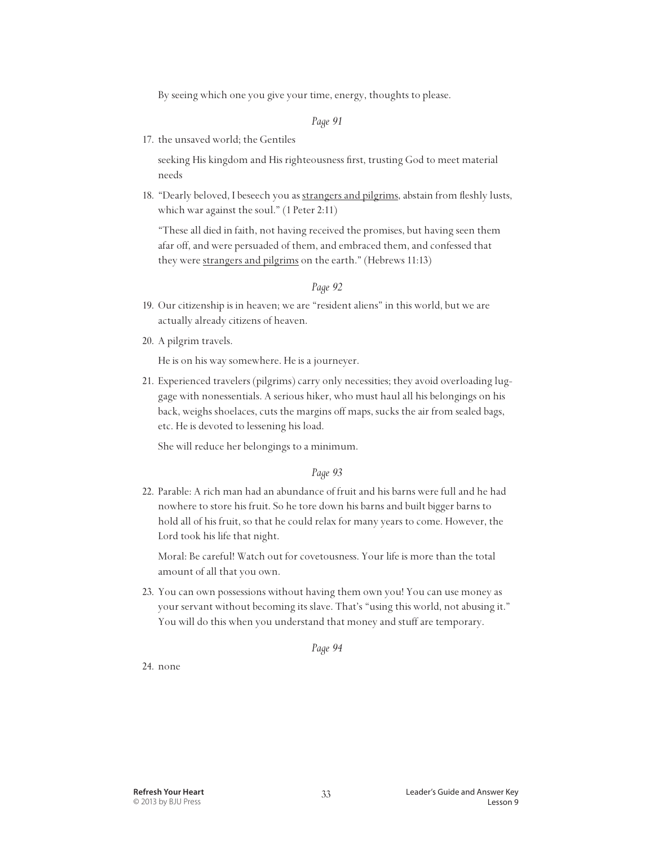By seeing which one you give your time, energy, thoughts to please.

#### *Page 91*

17. the unsaved world; the Gentiles

 seeking His kingdom and His righteousness first, trusting God to meet material needs

18. "Dearly beloved, I beseech you as strangers and pilgrims, abstain from fleshly lusts, which war against the soul." (1 Peter 2:11)

 "These all died in faith, not having received the promises, but having seen them afar off, and were persuaded of them, and embraced them, and confessed that they were strangers and pilgrims on the earth." (Hebrews 11:13)

#### *Page 92*

- 19. Our citizenship is in heaven; we are "resident aliens" in this world, but we are actually already citizens of heaven.
- 20. A pilgrim travels.

He is on his way somewhere. He is a journeyer.

21. Experienced travelers (pilgrims) carry only necessities; they avoid overloading luggage with nonessentials. A serious hiker, who must haul all his belongings on his back, weighs shoelaces, cuts the margins off maps, sucks the air from sealed bags, etc. He is devoted to lessening his load.

She will reduce her belongings to a minimum.

#### *Page 93*

22. Parable: A rich man had an abundance of fruit and his barns were full and he had nowhere to store his fruit. So he tore down his barns and built bigger barns to hold all of his fruit, so that he could relax for many years to come. However, the Lord took his life that night.

 Moral: Be careful! Watch out for covetousness. Your life is more than the total amount of all that you own.

23. You can own possessions without having them own you! You can use money as your servant without becoming its slave. That's "using this world, not abusing it." You will do this when you understand that money and stuff are temporary.

*Page 94*

24. none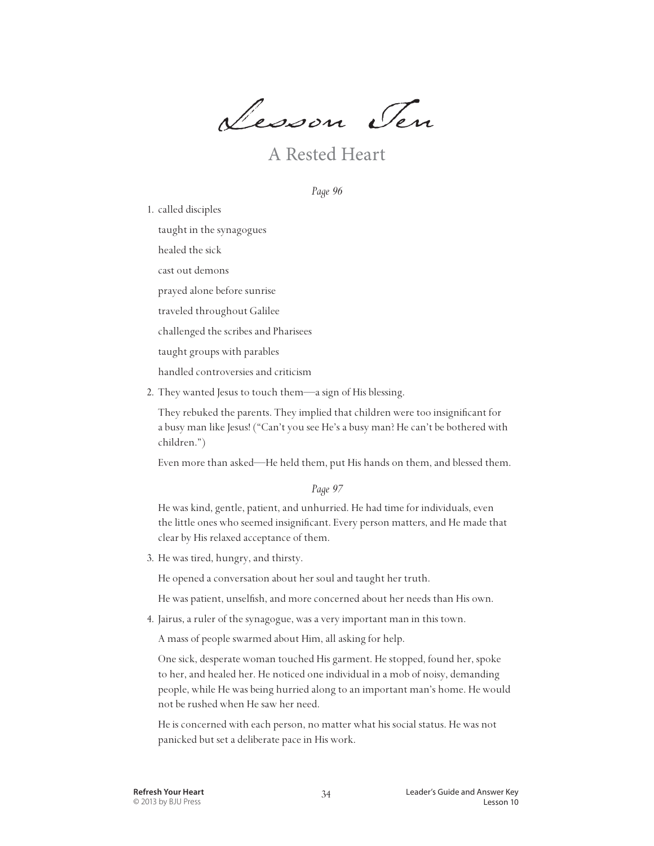Lesson Ten

A Rested Heart

*Page 96*

1. called disciples

taught in the synagogues

healed the sick

cast out demons

prayed alone before sunrise

traveled throughout Galilee

challenged the scribes and Pharisees

taught groups with parables

handled controversies and criticism

2. They wanted Jesus to touch them—a sign of His blessing.

 They rebuked the parents. They implied that children were too insignificant for a busy man like Jesus! ("Can't you see He's a busy man? He can't be bothered with children.")

Even more than asked—He held them, put His hands on them, and blessed them.

*Page 97*

 He was kind, gentle, patient, and unhurried. He had time for individuals, even the little ones who seemed insignificant. Every person matters, and He made that clear by His relaxed acceptance of them.

3. He was tired, hungry, and thirsty.

He opened a conversation about her soul and taught her truth.

He was patient, unselfish, and more concerned about her needs than His own.

4. Jairus, a ruler of the synagogue, was a very important man in this town.

A mass of people swarmed about Him, all asking for help.

 One sick, desperate woman touched His garment. He stopped, found her, spoke to her, and healed her. He noticed one individual in a mob of noisy, demanding people, while He was being hurried along to an important man's home. He would not be rushed when He saw her need.

 He is concerned with each person, no matter what his social status. He was not panicked but set a deliberate pace in His work.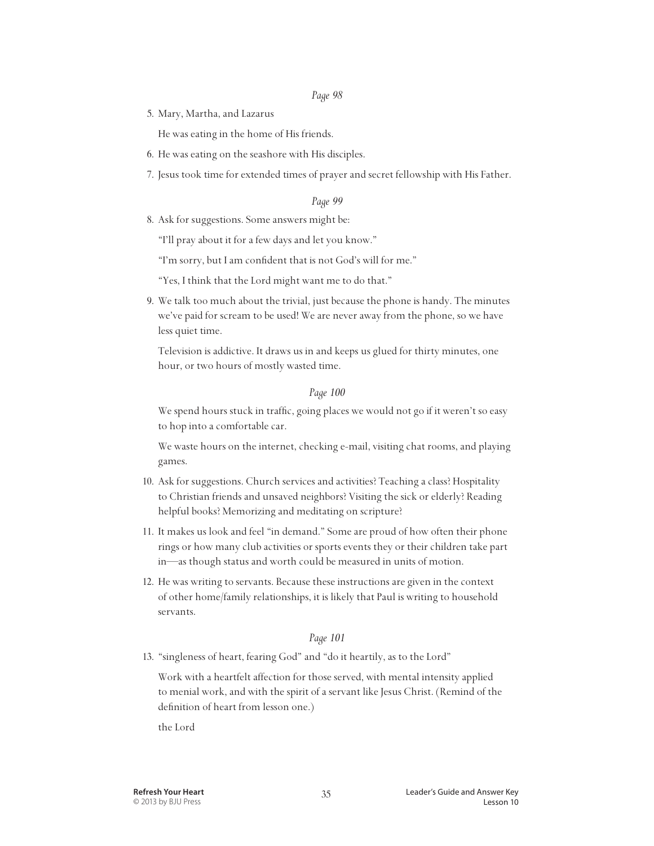5. Mary, Martha, and Lazarus

He was eating in the home of His friends.

- 6. He was eating on the seashore with His disciples.
- 7. Jesus took time for extended times of prayer and secret fellowship with His Father.

#### *Page 99*

8. Ask for suggestions. Some answers might be:

"I'll pray about it for a few days and let you know."

"I'm sorry, but I am confident that is not God's will for me."

- "Yes, I think that the Lord might want me to do that."
- 9. We talk too much about the trivial, just because the phone is handy. The minutes we've paid for scream to be used! We are never away from the phone, so we have less quiet time.

 Television is addictive. It draws us in and keeps us glued for thirty minutes, one hour, or two hours of mostly wasted time.

#### *Page 100*

 We spend hours stuck in traffic, going places we would not go if it weren't so easy to hop into a comfortable car.

 We waste hours on the internet, checking e-mail, visiting chat rooms, and playing games.

- 10. Ask for suggestions. Church services and activities? Teaching a class? Hospitality to Christian friends and unsaved neighbors? Visiting the sick or elderly? Reading helpful books? Memorizing and meditating on scripture?
- 11. It makes us look and feel "in demand." Some are proud of how often their phone rings or how many club activities or sports events they or their children take part in—as though status and worth could be measured in units of motion.
- 12. He was writing to servants. Because these instructions are given in the context of other home/family relationships, it is likely that Paul is writing to household servants.

#### *Page 101*

13. "singleness of heart, fearing God" and "do it heartily, as to the Lord"

 Work with a heartfelt affection for those served, with mental intensity applied to menial work, and with the spirit of a servant like Jesus Christ. (Remind of the definition of heart from lesson one.)

the Lord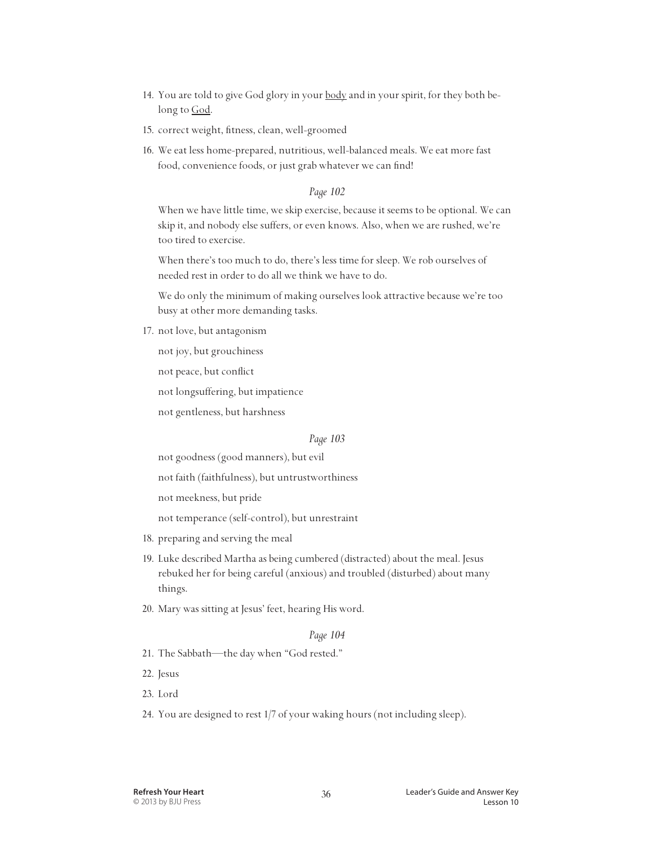- 14. You are told to give God glory in your body and in your spirit, for they both belong to God.
- 15. correct weight, fitness, clean, well-groomed
- 16. We eat less home-prepared, nutritious, well-balanced meals. We eat more fast food, convenience foods, or just grab whatever we can find!

 When we have little time, we skip exercise, because it seems to be optional. We can skip it, and nobody else suffers, or even knows. Also, when we are rushed, we're too tired to exercise.

 When there's too much to do, there's less time for sleep. We rob ourselves of needed rest in order to do all we think we have to do.

 We do only the minimum of making ourselves look attractive because we're too busy at other more demanding tasks.

17. not love, but antagonism

not joy, but grouchiness

not peace, but conflict

not longsuffering, but impatience

not gentleness, but harshness

#### *Page 103*

not goodness (good manners), but evil

not faith (faithfulness), but untrustworthiness

not meekness, but pride

not temperance (self-control), but unrestraint

- 18. preparing and serving the meal
- 19. Luke described Martha as being cumbered (distracted) about the meal. Jesus rebuked her for being careful (anxious) and troubled (disturbed) about many things.
- 20. Mary was sitting at Jesus' feet, hearing His word.

#### *Page 104*

- 21. The Sabbath—the day when "God rested."
- 22. Jesus
- 23. Lord
- 24. You are designed to rest 1/7 of your waking hours (not including sleep).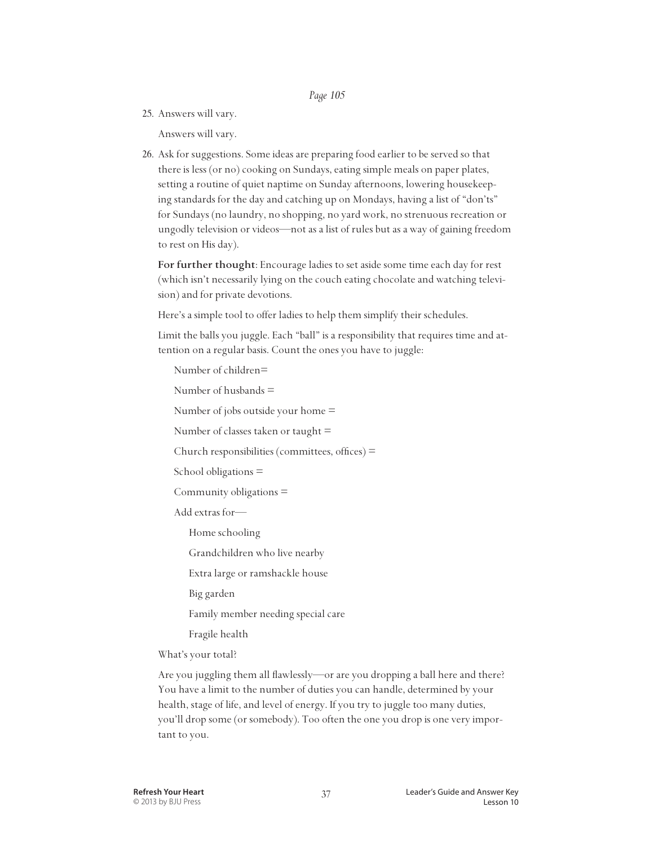25. Answers will vary.

Answers will vary.

26. Ask for suggestions. Some ideas are preparing food earlier to be served so that there is less (or no) cooking on Sundays, eating simple meals on paper plates, setting a routine of quiet naptime on Sunday afternoons, lowering housekeeping standards for the day and catching up on Mondays, having a list of "don'ts" for Sundays (no laundry, no shopping, no yard work, no strenuous recreation or ungodly television or videos—not as a list of rules but as a way of gaining freedom to rest on His day).

 **For further thought**: Encourage ladies to set aside some time each day for rest (which isn't necessarily lying on the couch eating chocolate and watching television) and for private devotions.

Here's a simple tool to offer ladies to help them simplify their schedules.

 Limit the balls you juggle. Each "ball" is a responsibility that requires time and attention on a regular basis. Count the ones you have to juggle:

Number of children=

Number of husbands  $=$ 

Number of jobs outside your home  $=$ 

Number of classes taken or taught  $=$ 

Church responsibilities (committees, offices) =

School obligations =

Community obligations =

Add extras for—

Home schooling

Grandchildren who live nearby

Extra large or ramshackle house

Big garden

Family member needing special care

Fragile health

What's your total?

 Are you juggling them all flawlessly—or are you dropping a ball here and there? You have a limit to the number of duties you can handle, determined by your health, stage of life, and level of energy. If you try to juggle too many duties, you'll drop some (or somebody). Too often the one you drop is one very important to you.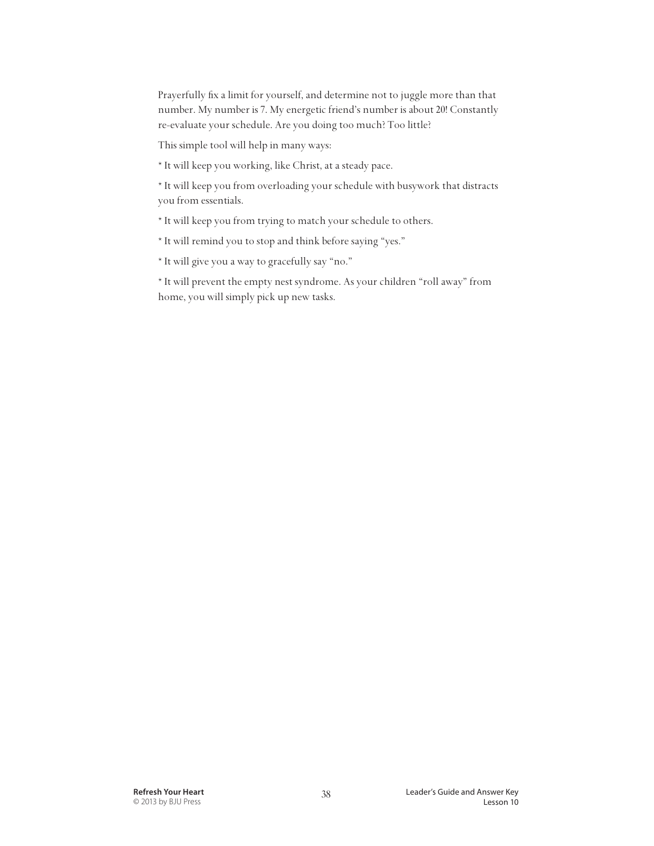Prayerfully fix a limit for yourself, and determine not to juggle more than that number. My number is 7. My energetic friend's number is about 20! Constantly re-evaluate your schedule. Are you doing too much? Too little?

This simple tool will help in many ways:

\* It will keep you working, like Christ, at a steady pace.

 \* It will keep you from overloading your schedule with busywork that distracts you from essentials.

- \* It will keep you from trying to match your schedule to others.
- \* It will remind you to stop and think before saying "yes."
- \* It will give you a way to gracefully say "no."

 \* It will prevent the empty nest syndrome. As your children "roll away" from home, you will simply pick up new tasks.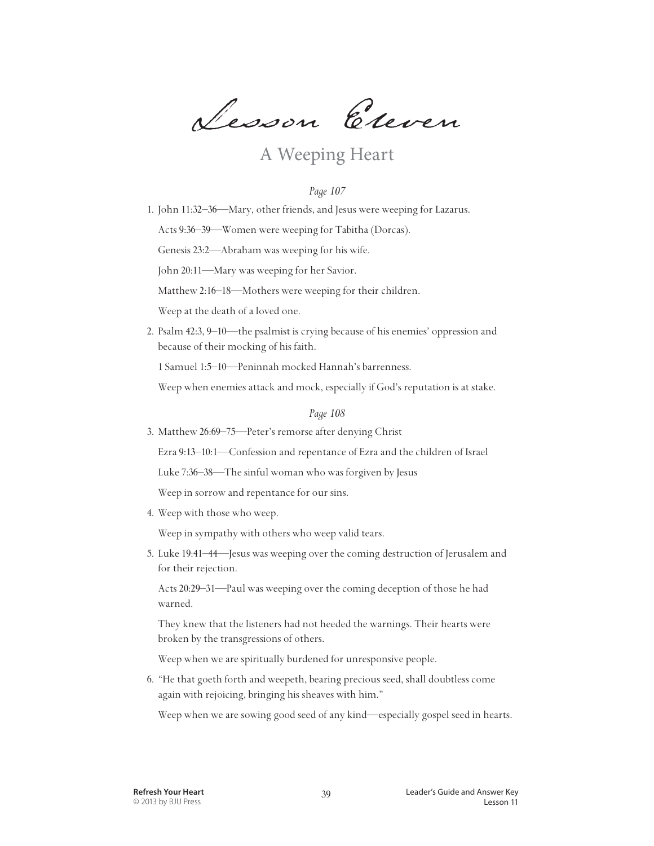Lesson Eleven

## A Weeping Heart

#### *Page 107*

1. John 11:32–36—Mary, other friends, and Jesus were weeping for Lazarus.

Acts 9:36–39—Women were weeping for Tabitha (Dorcas).

Genesis 23:2—Abraham was weeping for his wife.

John 20:11—Mary was weeping for her Savior.

Matthew 2:16–18—Mothers were weeping for their children.

Weep at the death of a loved one.

2. Psalm 42:3, 9–10—the psalmist is crying because of his enemies' oppression and because of their mocking of his faith.

1 Samuel 1:5–10—Peninnah mocked Hannah's barrenness.

Weep when enemies attack and mock, especially if God's reputation is at stake.

*Page 108*

3. Matthew 26:69–75—Peter's remorse after denying Christ

Ezra 9:13–10:1—Confession and repentance of Ezra and the children of Israel

Luke 7:36–38—The sinful woman who was forgiven by Jesus

Weep in sorrow and repentance for our sins.

4. Weep with those who weep.

Weep in sympathy with others who weep valid tears.

5. Luke 19:41–44—Jesus was weeping over the coming destruction of Jerusalem and for their rejection.

 Acts 20:29–31—Paul was weeping over the coming deception of those he had warned.

 They knew that the listeners had not heeded the warnings. Their hearts were broken by the transgressions of others.

Weep when we are spiritually burdened for unresponsive people.

6. "He that goeth forth and weepeth, bearing precious seed, shall doubtless come again with rejoicing, bringing his sheaves with him."

Weep when we are sowing good seed of any kind—especially gospel seed in hearts.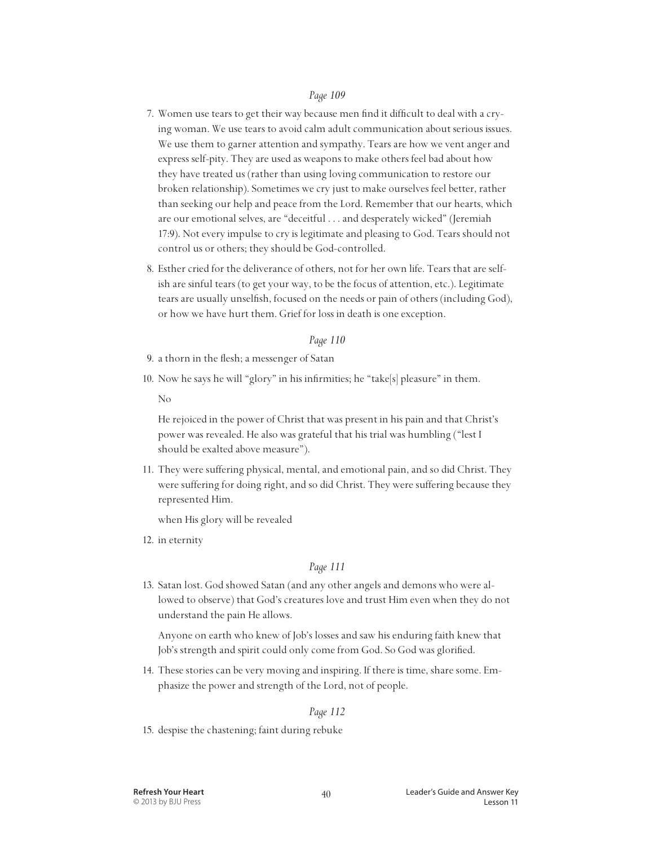- 7. Women use tears to get their way because men find it difficult to deal with a crying woman. We use tears to avoid calm adult communication about serious issues. We use them to garner attention and sympathy. Tears are how we vent anger and express self-pity. They are used as weapons to make others feel bad about how they have treated us (rather than using loving communication to restore our broken relationship). Sometimes we cry just to make ourselves feel better, rather than seeking our help and peace from the Lord. Remember that our hearts, which are our emotional selves, are "deceitful . . . and desperately wicked" (Jeremiah 17:9). Not every impulse to cry is legitimate and pleasing to God. Tears should not control us or others; they should be God-controlled.
- 8. Esther cried for the deliverance of others, not for her own life. Tears that are selfish are sinful tears (to get your way, to be the focus of attention, etc.). Legitimate tears are usually unselfish, focused on the needs or pain of others (including God), or how we have hurt them. Grief for loss in death is one exception.

#### *Page 110*

- 9. a thorn in the flesh; a messenger of Satan
- 10. Now he says he will "glory" in his infirmities; he "take[s] pleasure" in them.

No

 He rejoiced in the power of Christ that was present in his pain and that Christ's power was revealed. He also was grateful that his trial was humbling ("lest I should be exalted above measure").

11. They were suffering physical, mental, and emotional pain, and so did Christ. They were suffering for doing right, and so did Christ. They were suffering because they represented Him.

when His glory will be revealed

12. in eternity

#### *Page 111*

13. Satan lost. God showed Satan (and any other angels and demons who were allowed to observe) that God's creatures love and trust Him even when they do not understand the pain He allows.

 Anyone on earth who knew of Job's losses and saw his enduring faith knew that Job's strength and spirit could only come from God. So God was glorified.

14. These stories can be very moving and inspiring. If there is time, share some. Emphasize the power and strength of the Lord, not of people.

#### *Page 112*

15. despise the chastening; faint during rebuke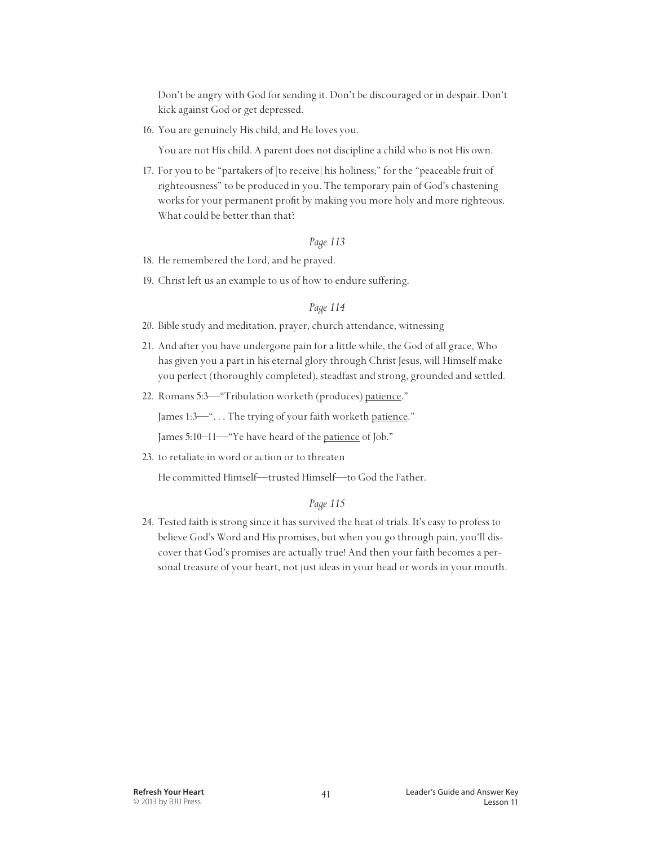Don't be angry with God for sending it. Don't be discouraged or in despair. Don't kick against God or get depressed.

16. You are genuinely His child, and He loves you.

You are not His child. A parent does not discipline a child who is not His own.

17. For you to be "partakers of [to receive] his holiness;" for the "peaceable fruit of righteousness" to be produced in you. The temporary pain of God's chastening works for your permanent profit by making you more holy and more righteous. What could be better than that?

#### *Page 113*

- 18. He remembered the Lord, and he prayed.
- 19. Christ left us an example to us of how to endure suffering.

#### *Page 114*

- 20. Bible study and meditation, prayer, church attendance, witnessing
- 21. And after you have undergone pain for a little while, the God of all grace, Who has given you a part in his eternal glory through Christ Jesus, will Himself make you perfect (thoroughly completed), steadfast and strong, grounded and settled.
- 22. Romans 5:3—"Tribulation worketh (produces) patience."

James 1:3-"... The trying of your faith worketh patience."

James 5:10–11—"Ye have heard of the patience of Job."

23. to retaliate in word or action or to threaten

He committed Himself—trusted Himself—to God the Father.

#### *Page 115*

24. Tested faith is strong since it has survived the heat of trials. It's easy to profess to believe God's Word and His promises, but when you go through pain, you'll discover that God's promises are actually true! And then your faith becomes a personal treasure of your heart, not just ideas in your head or words in your mouth.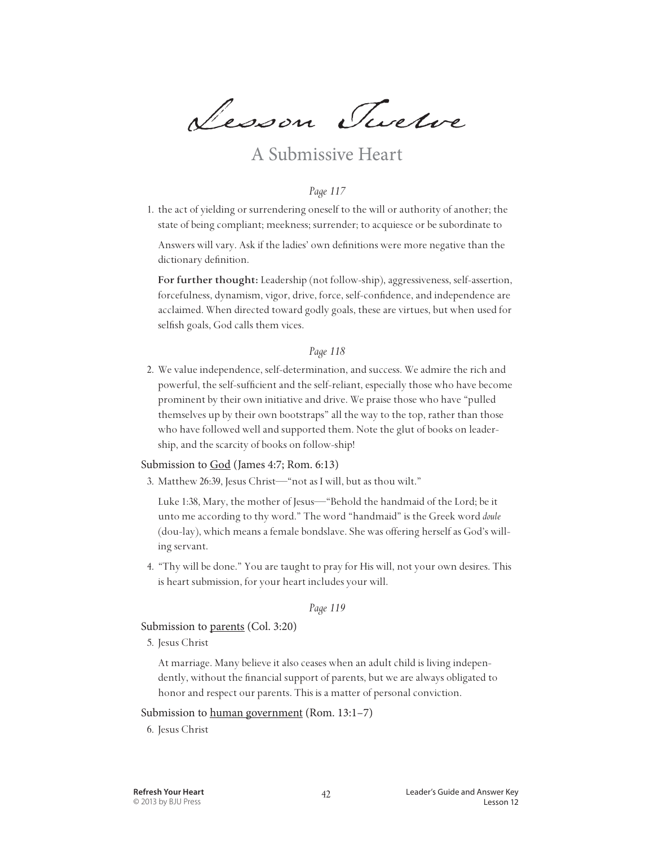Lesson Twelve

### A Submissive Heart

#### *Page 117*

1. the act of yielding or surrendering oneself to the will or authority of another; the state of being compliant; meekness; surrender; to acquiesce or be subordinate to

 Answers will vary. Ask if the ladies' own definitions were more negative than the dictionary definition.

 **For further thought:** Leadership (not follow-ship), aggressiveness, self-assertion, forcefulness, dynamism, vigor, drive, force, self-confidence, and independence are acclaimed. When directed toward godly goals, these are virtues, but when used for selfish goals, God calls them vices.

#### *Page 118*

2. We value independence, self-determination, and success. We admire the rich and powerful, the self-sufficient and the self-reliant, especially those who have become prominent by their own initiative and drive. We praise those who have "pulled themselves up by their own bootstraps" all the way to the top, rather than those who have followed well and supported them. Note the glut of books on leadership, and the scarcity of books on follow-ship!

#### Submission to God (James 4:7; Rom. 6:13)

3. Matthew 26:39, Jesus Christ—"not as I will, but as thou wilt."

 Luke 1:38, Mary, the mother of Jesus—"Behold the handmaid of the Lord; be it unto me according to thy word." The word "handmaid" is the Greek word *doule* (dou-lay), which means a female bondslave. She was offering herself as God's willing servant.

4. "Thy will be done." You are taught to pray for His will, not your own desires. This is heart submission, for your heart includes your will.

#### *Page 119*

Submission to parents (Col. 3:20)

5. Jesus Christ

 At marriage. Many believe it also ceases when an adult child is living independently, without the financial support of parents, but we are always obligated to honor and respect our parents. This is a matter of personal conviction.

#### Submission to human government (Rom. 13:1–7)

6. Jesus Christ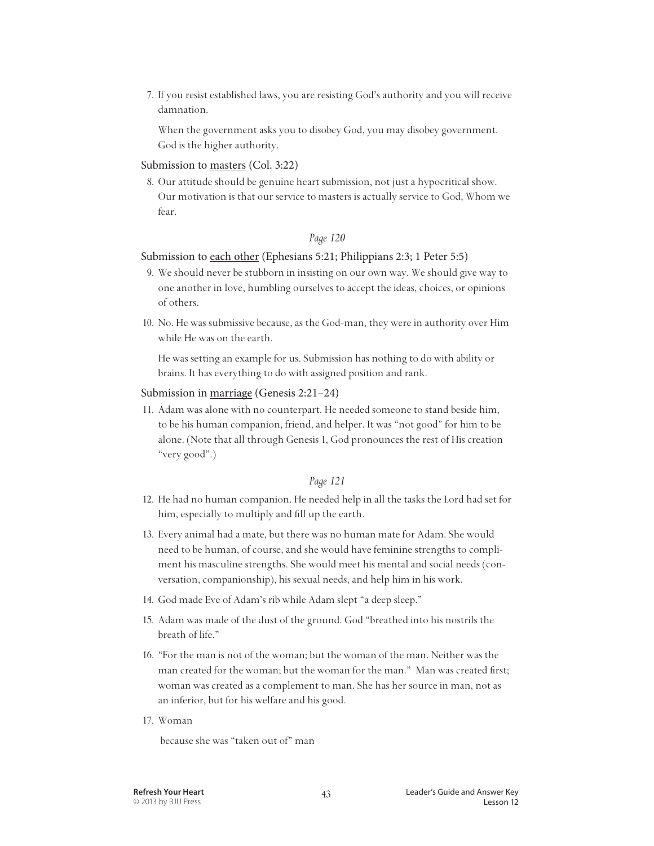7. If you resist established laws, you are resisting God's authority and you will receive damnation.

 When the government asks you to disobey God, you may disobey government. God is the higher authority.

#### Submission to masters (Col. 3:22)

8. Our attitude should be genuine heart submission, not just a hypocritical show. Our motivation is that our service to masters is actually service to God, Whom we fear.

#### *Page 120*

#### Submission to each other (Ephesians 5:21; Philippians 2:3; 1 Peter 5:5)

- 9. We should never be stubborn in insisting on our own way. We should give way to one another in love, humbling ourselves to accept the ideas, choices, or opinions of others.
- 10. No. He was submissive because, as the God-man, they were in authority over Him while He was on the earth.

 He was setting an example for us. Submission has nothing to do with ability or brains. It has everything to do with assigned position and rank.

#### Submission in marriage (Genesis 2:21–24)

11. Adam was alone with no counterpart. He needed someone to stand beside him, to be his human companion, friend, and helper. It was "not good" for him to be alone. (Note that all through Genesis 1, God pronounces the rest of His creation "very good".)

#### *Page 121*

- 12. He had no human companion. He needed help in all the tasks the Lord had set for him, especially to multiply and fill up the earth.
- 13. Every animal had a mate, but there was no human mate for Adam. She would need to be human, of course, and she would have feminine strengths to compliment his masculine strengths. She would meet his mental and social needs (conversation, companionship), his sexual needs, and help him in his work.
- 14. God made Eve of Adam's rib while Adam slept "a deep sleep."
- 15. Adam was made of the dust of the ground. God "breathed into his nostrils the breath of life."
- 16. "For the man is not of the woman; but the woman of the man. Neither was the man created for the woman; but the woman for the man." Man was created first; woman was created as a complement to man. She has her source in man, not as an inferior, but for his welfare and his good.
- 17. Woman

because she was "taken out of" man